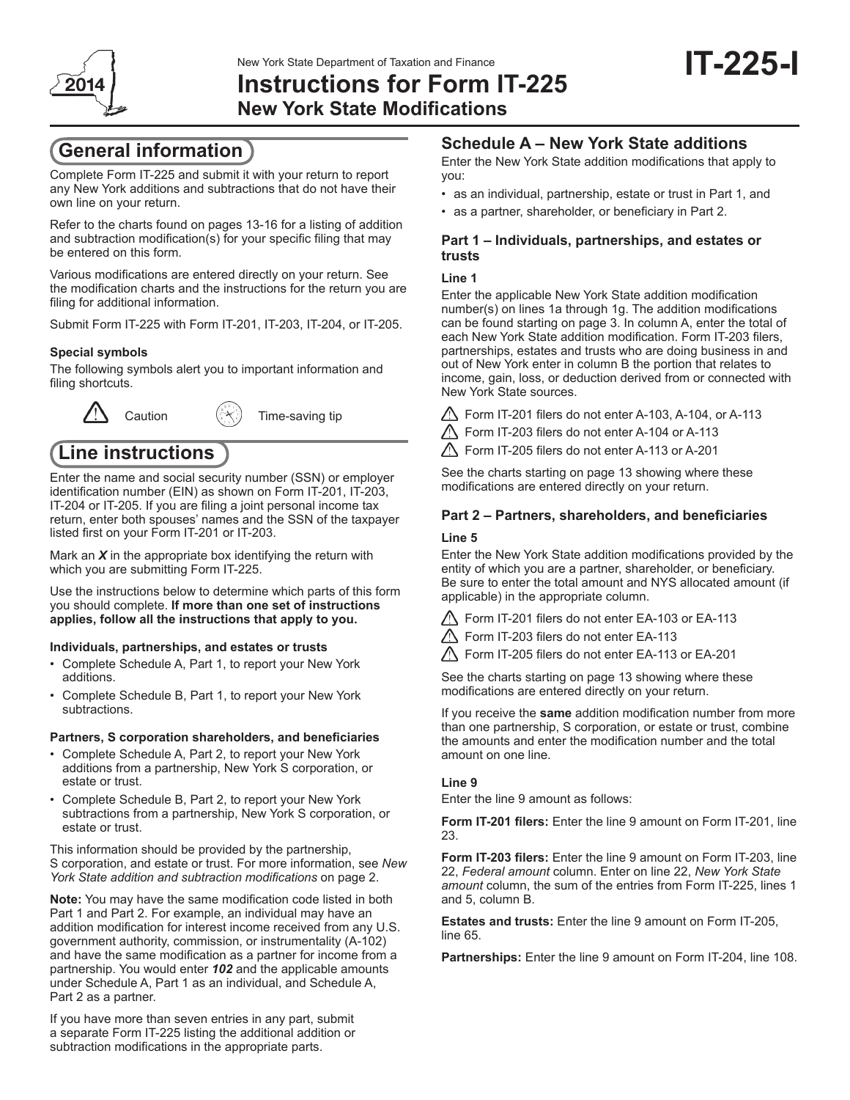

**IT-225-I**

**New York State Modifications**

# **General information**

Complete Form IT-225 and submit it with your return to report any New York additions and subtractions that do not have their own line on your return.

Refer to the charts found on pages 13-16 for a listing of addition and subtraction modification(s) for your specific filing that may be entered on this form.

Various modifications are entered directly on your return. See the modification charts and the instructions for the return you are filing for additional information.

Submit Form IT-225 with Form IT-201, IT-203, IT-204, or IT-205.

## **Special symbols**

The following symbols alert you to important information and filing shortcuts.



Caution  $(\mathbb{R})$  Time-saving tip

# **Line instructions**

Enter the name and social security number (SSN) or employer identification number (EIN) as shown on Form IT-201, IT-203, IT-204 or IT-205. If you are filing a joint personal income tax return, enter both spouses' names and the SSN of the taxpayer listed first on your Form IT‑201 or IT-203.

Mark an *X* in the appropriate box identifying the return with which you are submitting Form IT-225.

Use the instructions below to determine which parts of this form you should complete. **If more than one set of instructions applies, follow all the instructions that apply to you.**

#### **Individuals, partnerships, and estates or trusts**

- Complete Schedule A, Part 1, to report your New York additions.
- Complete Schedule B, Part 1, to report your New York subtractions.

### **Partners, S corporation shareholders, and beneficiaries**

- Complete Schedule A, Part 2, to report your New York additions from a partnership, New York S corporation, or estate or trust.
- Complete Schedule B, Part 2, to report your New York subtractions from a partnership, New York S corporation, or estate or trust.

This information should be provided by the partnership, S corporation, and estate or trust. For more information, see *New York State addition and subtraction modifications* on page 2.

**Note:** You may have the same modification code listed in both Part 1 and Part 2. For example, an individual may have an addition modification for interest income received from any U.S. government authority, commission, or instrumentality (A-102) and have the same modification as a partner for income from a partnership. You would enter *102* and the applicable amounts under Schedule A, Part 1 as an individual, and Schedule A, Part 2 as a partner.

If you have more than seven entries in any part, submit a separate Form IT-225 listing the additional addition or subtraction modifications in the appropriate parts.

## **Schedule A – New York State additions**

Enter the New York State addition modifications that apply to you:

- as an individual, partnership, estate or trust in Part 1, and
- as a partner, shareholder, or beneficiary in Part 2.

### **Part 1 – Individuals, partnerships, and estates or trusts**

### **Line 1**

Enter the applicable New York State addition modification number(s) on lines 1a through 1g. The addition modifications can be found starting on page 3. In column A, enter the total of each New York State addition modification. Form IT-203 filers, partnerships, estates and trusts who are doing business in and out of New York enter in column B the portion that relates to income, gain, loss, or deduction derived from or connected with New York State sources.

Form IT-201 filers do not enter A-103, A-104, or A-113

Form IT-203 filers do not enter A-104 or A-113

Form IT-205 filers do not enter A-113 or A-201

See the charts starting on page 13 showing where these modifications are entered directly on your return.

## **Part 2 – Partners, shareholders, and beneficiaries**

### **Line 5**

Enter the New York State addition modifications provided by the entity of which you are a partner, shareholder, or beneficiary. Be sure to enter the total amount and NYS allocated amount (if applicable) in the appropriate column.

- Form IT-201 filers do not enter EA-103 or EA-113
- Form IT-203 filers do not enter EA-113

Form IT-205 filers do not enter EA-113 or EA-201

See the charts starting on page 13 showing where these modifications are entered directly on your return.

If you receive the **same** addition modification number from more than one partnership, S corporation, or estate or trust, combine the amounts and enter the modification number and the total amount on one line.

## **Line 9**

Enter the line 9 amount as follows:

**Form IT-201 filers:** Enter the line 9 amount on Form IT-201, line 23.

**Form IT-203 filers:** Enter the line 9 amount on Form IT-203, line 22, *Federal amount* column. Enter on line 22, *New York State amount* column, the sum of the entries from Form IT-225, lines 1 and 5, column B.

**Estates and trusts:** Enter the line 9 amount on Form IT-205, line 65.

**Partnerships:** Enter the line 9 amount on Form IT-204, line 108.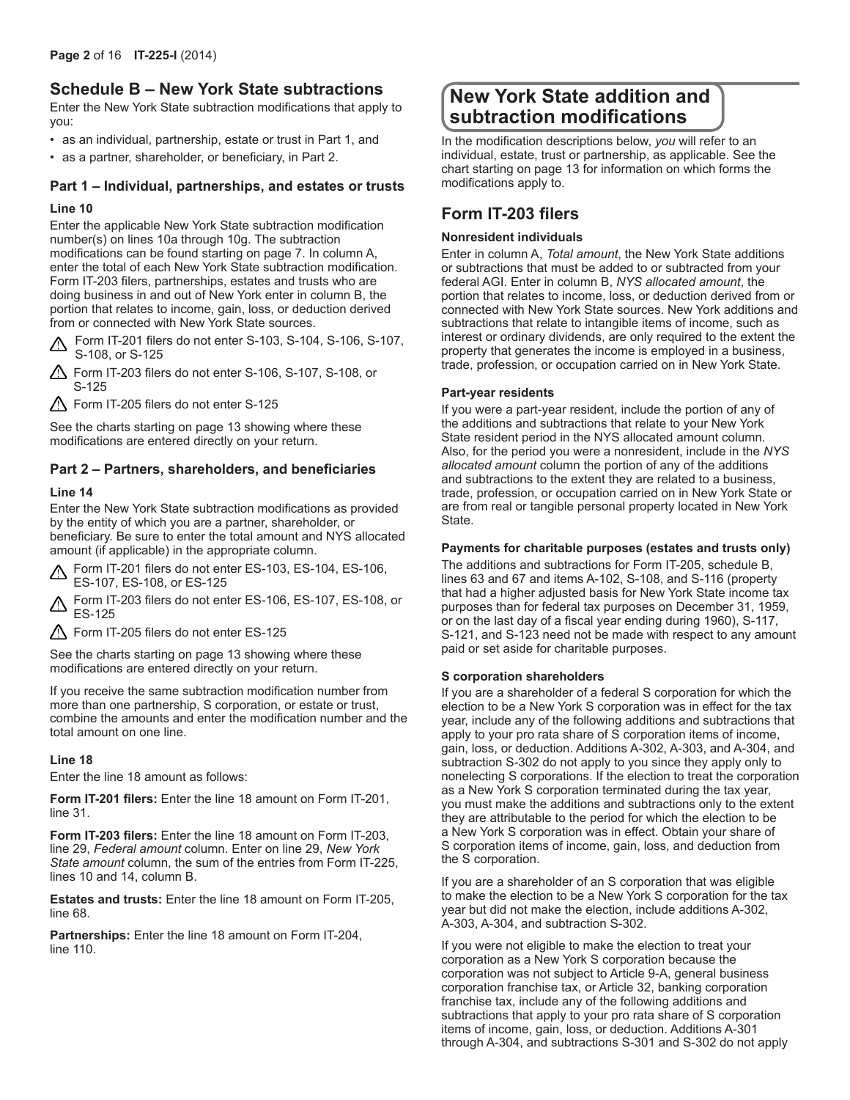## **Schedule B – New York State subtractions**

Enter the New York State subtraction modifications that apply to you:

- as an individual, partnership, estate or trust in Part 1, and
- as a partner, shareholder, or beneficiary, in Part 2.

## **Part 1 – Individual, partnerships, and estates or trusts**

### **Line 10**

Enter the applicable New York State subtraction modification number(s) on lines 10a through 10g. The subtraction modifications can be found starting on page 7. In column A, enter the total of each New York State subtraction modification. Form IT-203 filers, partnerships, estates and trusts who are doing business in and out of New York enter in column B, the portion that relates to income, gain, loss, or deduction derived from or connected with New York State sources.

Form IT-201 filers do not enter S-103, S-104, S-106, S-107, S-108, or S-125

- Form IT-203 filers do not enter S-106, S-107, S-108, or S-125
- $\triangle$  Form IT-205 filers do not enter S-125

See the charts starting on page 13 showing where these modifications are entered directly on your return.

## **Part 2 – Partners, shareholders, and beneficiaries**

### **Line 14**

Enter the New York State subtraction modifications as provided by the entity of which you are a partner, shareholder, or beneficiary. Be sure to enter the total amount and NYS allocated amount (if applicable) in the appropriate column.

Form IT-201 filers do not enter ES-103, ES-104, ES-106, ES-107, ES-108, or ES-125

**A** Form IT-203 filers do not enter ES-106, ES-107, ES-108, or ES-125

Form IT-205 filers do not enter ES-125

See the charts starting on page 13 showing where these modifications are entered directly on your return.

If you receive the same subtraction modification number from more than one partnership, S corporation, or estate or trust, combine the amounts and enter the modification number and the total amount on one line.

### **Line 18**

Enter the line 18 amount as follows:

**Form IT-201 filers:** Enter the line 18 amount on Form IT-201, line 31.

**Form IT-203 filers:** Enter the line 18 amount on Form IT-203, line 29, *Federal amount* column. Enter on line 29, *New York State amount* column, the sum of the entries from Form IT-225, lines 10 and 14, column B.

**Estates and trusts:** Enter the line 18 amount on Form IT-205, line 68.

**Partnerships:** Enter the line 18 amount on Form IT-204, line 110.

# **New York State addition and subtraction modifications**

In the modification descriptions below, *you* will refer to an individual, estate, trust or partnership, as applicable. See the chart starting on page 13 for information on which forms the modifications apply to.

## **Form IT-203 filers**

### **Nonresident individuals**

Enter in column A, *Total amount*, the New York State additions or subtractions that must be added to or subtracted from your federal AGI. Enter in column B, *NYS allocated amount*, the portion that relates to income, loss, or deduction derived from or connected with New York State sources. New York additions and subtractions that relate to intangible items of income, such as interest or ordinary dividends, are only required to the extent the property that generates the income is employed in a business, trade, profession, or occupation carried on in New York State.

### **Part-year residents**

If you were a part‑year resident, include the portion of any of the additions and subtractions that relate to your New York State resident period in the NYS allocated amount column. Also, for the period you were a nonresident, include in the *NYS allocated amount* column the portion of any of the additions and subtractions to the extent they are related to a business, trade, profession, or occupation carried on in New York State or are from real or tangible personal property located in New York State.

### **Payments for charitable purposes (estates and trusts only)**

The additions and subtractions for Form IT-205, schedule B, lines 63 and 67 and items A-102, S-108, and S-116 (property that had a higher adjusted basis for New York State income tax purposes than for federal tax purposes on December 31, 1959, or on the last day of a fiscal year ending during 1960), S-117, S-121, and S-123 need not be made with respect to any amount paid or set aside for charitable purposes.

#### **S corporation shareholders**

If you are a shareholder of a federal S corporation for which the election to be a New York S corporation was in effect for the tax year, include any of the following additions and subtractions that apply to your pro rata share of S corporation items of income, gain, loss, or deduction. Additions A‑302, A‑303, and A‑304, and subtraction S-302 do not apply to you since they apply only to nonelecting S corporations. If the election to treat the corporation as a New York S corporation terminated during the tax year, you must make the additions and subtractions only to the extent they are attributable to the period for which the election to be a New York S corporation was in effect. Obtain your share of S corporation items of income, gain, loss, and deduction from the S corporation.

If you are a shareholder of an S corporation that was eligible to make the election to be a New York S corporation for the tax year but did not make the election, include additions A‑302, A‑303, A‑304, and subtraction S‑302.

If you were not eligible to make the election to treat your corporation as a New York S corporation because the corporation was not subject to Article 9-A, general business corporation franchise tax, or Article 32, banking corporation franchise tax, include any of the following additions and subtractions that apply to your pro rata share of S corporation items of income, gain, loss, or deduction. Additions A-301 through A-304, and subtractions S-301 and S-302 do not apply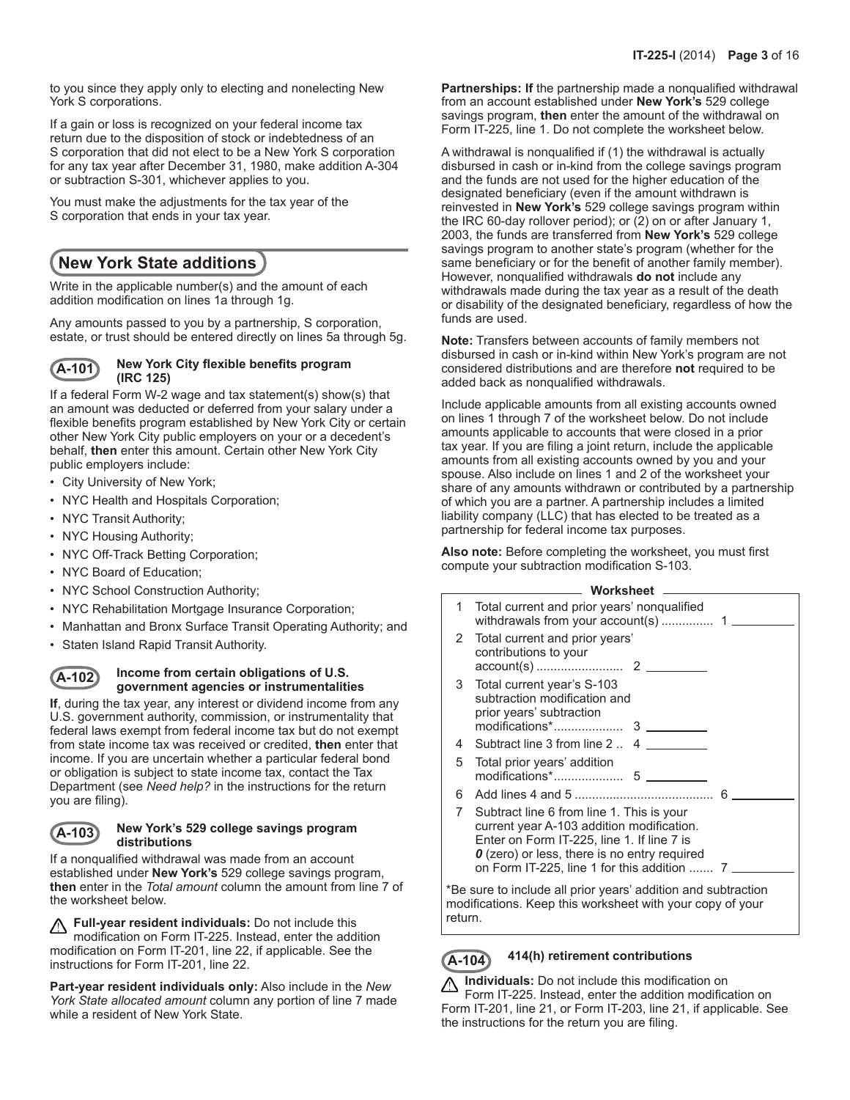to you since they apply only to electing and nonelecting New York S corporations.

If a gain or loss is recognized on your federal income tax return due to the disposition of stock or indebtedness of an S corporation that did not elect to be a New York S corporation for any tax year after December 31, 1980, make addition A‑304 or subtraction S‑301, whichever applies to you.

You must make the adjustments for the tax year of the S corporation that ends in your tax year.

# **New York State additions**

Write in the applicable number(s) and the amount of each addition modification on lines 1a through 1g.

Any amounts passed to you by a partnership, S corporation, estate, or trust should be entered directly on lines 5a through 5g.

#### **A-101 New York City flexible benefits program (IRC 125)**

If a federal Form W-2 wage and tax statement(s) show(s) that an amount was deducted or deferred from your salary under a flexible benefits program established by New York City or certain other New York City public employers on your or a decedent's behalf, **then** enter this amount. Certain other New York City public employers include:

- City University of New York;
- NYC Health and Hospitals Corporation;
- NYC Transit Authority;
- NYC Housing Authority;
- NYC Off-Track Betting Corporation;
- NYC Board of Education;
- NYC School Construction Authority;
- NYC Rehabilitation Mortgage Insurance Corporation;
- Manhattan and Bronx Surface Transit Operating Authority; and
- Staten Island Rapid Transit Authority.

### **A-102 Income from certain obligations of U.S. government agencies or instrumentalities**

**If**, during the tax year, any interest or dividend income from any U.S. government authority, commission, or instrumentality that federal laws exempt from federal income tax but do not exempt from state income tax was received or credited, **then** enter that income. If you are uncertain whether a particular federal bond or obligation is subject to state income tax, contact the Tax Department (see *Need help?* in the instructions for the return you are filing).

### **A-103 New York's 529 college savings program distributions**

If a nonqualified withdrawal was made from an account established under **New York's** 529 college savings program, **then** enter in the *Total amount* column the amount from line 7 of the worksheet below.

**Full-year resident individuals:** Do not include this modification on Form IT-225. Instead, enter the addition modification on Form IT-201, line 22, if applicable. See the instructions for Form IT-201, line 22.

**Part-year resident individuals only:** Also include in the *New York State allocated amount* column any portion of line 7 made while a resident of New York State.

**Partnerships: If** the partnership made a nonqualified withdrawal from an account established under **New York's** 529 college savings program, **then** enter the amount of the withdrawal on Form IT-225, line 1. Do not complete the worksheet below.

A withdrawal is nonqualified if (1) the withdrawal is actually disbursed in cash or in-kind from the college savings program and the funds are not used for the higher education of the designated beneficiary (even if the amount withdrawn is reinvested in **New York's** 529 college savings program within the IRC 60-day rollover period); or (2) on or after January 1, 2003, the funds are transferred from **New York's** 529 college savings program to another state's program (whether for the same beneficiary or for the benefit of another family member). However, nonqualified withdrawals **do not** include any withdrawals made during the tax year as a result of the death or disability of the designated beneficiary, regardless of how the funds are used.

**Note:** Transfers between accounts of family members not disbursed in cash or in-kind within New York's program are not considered distributions and are therefore **not** required to be added back as nonqualified withdrawals.

Include applicable amounts from all existing accounts owned on lines 1 through 7 of the worksheet below. Do not include amounts applicable to accounts that were closed in a prior tax year. If you are filing a joint return, include the applicable amounts from all existing accounts owned by you and your spouse. Also include on lines 1 and 2 of the worksheet your share of any amounts withdrawn or contributed by a partnership of which you are a partner. A partnership includes a limited liability company (LLC) that has elected to be treated as a partnership for federal income tax purposes.

**Also note:** Before completing the worksheet, you must first compute your subtraction modification S-103.

|   | Worksheet                                                                                                                                                                                                                                  |  |  |  |  |
|---|--------------------------------------------------------------------------------------------------------------------------------------------------------------------------------------------------------------------------------------------|--|--|--|--|
| 1 | Total current and prior years' nonqualified                                                                                                                                                                                                |  |  |  |  |
| 2 | Total current and prior years'<br>contributions to your                                                                                                                                                                                    |  |  |  |  |
| 3 | Total current year's S-103<br>subtraction modification and<br>prior years' subtraction<br>modifications*<br>3                                                                                                                              |  |  |  |  |
| 4 | Subtract line 3 from line 2 . 4                                                                                                                                                                                                            |  |  |  |  |
| 5 | Total prior years' addition                                                                                                                                                                                                                |  |  |  |  |
| 6 |                                                                                                                                                                                                                                            |  |  |  |  |
| 7 | Subtract line 6 from line 1. This is your<br>current year A-103 addition modification.<br>Enter on Form IT-225, line 1. If line 7 is<br><b>0</b> (zero) or less, there is no entry required<br>on Form IT-225, line 1 for this addition  7 |  |  |  |  |

\*Be sure to include all prior years' addition and subtraction modifications. Keep this worksheet with your copy of your return.

## **A-104 414(h) retirement contributions**

**Individuals:** Do not include this modification on ⚠ Form IT-225. Instead, enter the addition modification on Form IT-201, line 21, or Form IT-203, line 21, if applicable. See the instructions for the return you are filing.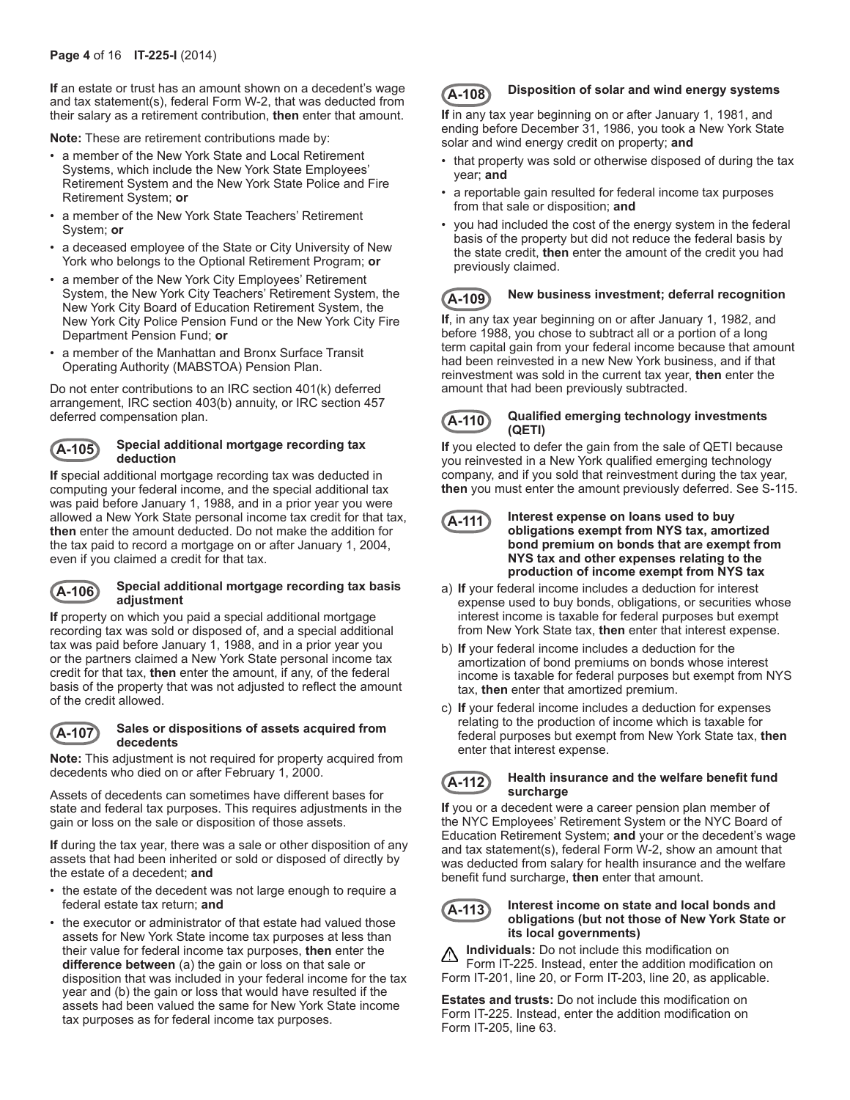**If** an estate or trust has an amount shown on a decedent's wage and tax statement(s), federal Form W-2, that was deducted from their salary as a retirement contribution, **then** enter that amount.

**Note:** These are retirement contributions made by:

- a member of the New York State and Local Retirement Systems, which include the New York State Employees' Retirement System and the New York State Police and Fire Retirement System; **or**
- a member of the New York State Teachers' Retirement System; **or**
- a deceased employee of the State or City University of New York who belongs to the Optional Retirement Program; **or**
- a member of the New York City Employees' Retirement System, the New York City Teachers' Retirement System, the New York City Board of Education Retirement System, the New York City Police Pension Fund or the New York City Fire Department Pension Fund; **or**
- a member of the Manhattan and Bronx Surface Transit Operating Authority (MABSTOA) Pension Plan.

Do not enter contributions to an IRC section 401(k) deferred arrangement, IRC section 403(b) annuity, or IRC section 457 deferred compensation plan.

#### **A-105 Special additional mortgage recording tax deduction**

**If** special additional mortgage recording tax was deducted in computing your federal income, and the special additional tax was paid before January 1, 1988, and in a prior year you were allowed a New York State personal income tax credit for that tax, **then** enter the amount deducted. Do not make the addition for the tax paid to record a mortgage on or after January 1, 2004, even if you claimed a credit for that tax.

### **A-106 Special additional mortgage recording tax basis adjustment**

**If** property on which you paid a special additional mortgage recording tax was sold or disposed of, and a special additional tax was paid before January 1, 1988, and in a prior year you or the partners claimed a New York State personal income tax credit for that tax, **then** enter the amount, if any, of the federal basis of the property that was not adjusted to reflect the amount of the credit allowed.

#### **A-107 Sales or dispositions of assets acquired from decedents**

**Note:** This adjustment is not required for property acquired from decedents who died on or after February 1, 2000.

Assets of decedents can sometimes have different bases for state and federal tax purposes. This requires adjustments in the gain or loss on the sale or disposition of those assets.

**If** during the tax year, there was a sale or other disposition of any assets that had been inherited or sold or disposed of directly by the estate of a decedent; **and**

- the estate of the decedent was not large enough to require a federal estate tax return; **and**
- the executor or administrator of that estate had valued those assets for New York State income tax purposes at less than their value for federal income tax purposes, **then** enter the **difference between** (a) the gain or loss on that sale or disposition that was included in your federal income for the tax year and (b) the gain or loss that would have resulted if the assets had been valued the same for New York State income tax purposes as for federal income tax purposes.

## **A-108 Disposition of solar and wind energy systems**

**If** in any tax year beginning on or after January 1, 1981, and ending before December 31, 1986, you took a New York State solar and wind energy credit on property; **and**

- that property was sold or otherwise disposed of during the tax year; **and**
- a reportable gain resulted for federal income tax purposes from that sale or disposition; **and**
- you had included the cost of the energy system in the federal basis of the property but did not reduce the federal basis by the state credit, **then** enter the amount of the credit you had previously claimed.

## **A-109 New business investment; deferral recognition**

**If**, in any tax year beginning on or after January 1, 1982, and before 1988, you chose to subtract all or a portion of a long term capital gain from your federal income because that amount had been reinvested in a new New York business, and if that reinvestment was sold in the current tax year, **then** enter the amount that had been previously subtracted.



#### **A-110 Qualified emerging technology investments (QETI)**

**If** you elected to defer the gain from the sale of QETI because you reinvested in a New York qualified emerging technology company, and if you sold that reinvestment during the tax year, **then** you must enter the amount previously deferred. See S-115.

```
A-111 Interest expense on loans used to buy 
obligations exempt from NYS tax, amortized 
bond premium on bonds that are exempt from 
NYS tax and other expenses relating to the 
production of income exempt from NYS tax
```
- a) **If** your federal income includes a deduction for interest expense used to buy bonds, obligations, or securities whose interest income is taxable for federal purposes but exempt from New York State tax, **then** enter that interest expense.
- b) **If** your federal income includes a deduction for the amortization of bond premiums on bonds whose interest income is taxable for federal purposes but exempt from NYS tax, **then** enter that amortized premium.
- c) **If** your federal income includes a deduction for expenses relating to the production of income which is taxable for federal purposes but exempt from New York State tax, **then** enter that interest expense.



#### **A-112 Health insurance and the welfare benefit fund surcharge**

**If** you or a decedent were a career pension plan member of the NYC Employees' Retirement System or the NYC Board of Education Retirement System; **and** your or the decedent's wage and tax statement(s), federal Form W-2, show an amount that was deducted from salary for health insurance and the welfare benefit fund surcharge, **then** enter that amount.

#### **A-113 Interest income on state and local bonds and obligations (but not those of New York State or its local governments)**

**Individuals:** Do not include this modification on Form IT-225. Instead, enter the addition modification on Form IT-201, line 20, or Form IT-203, line 20, as applicable.

**Estates and trusts:** Do not include this modification on Form IT-225. Instead, enter the addition modification on Form IT-205, line 63.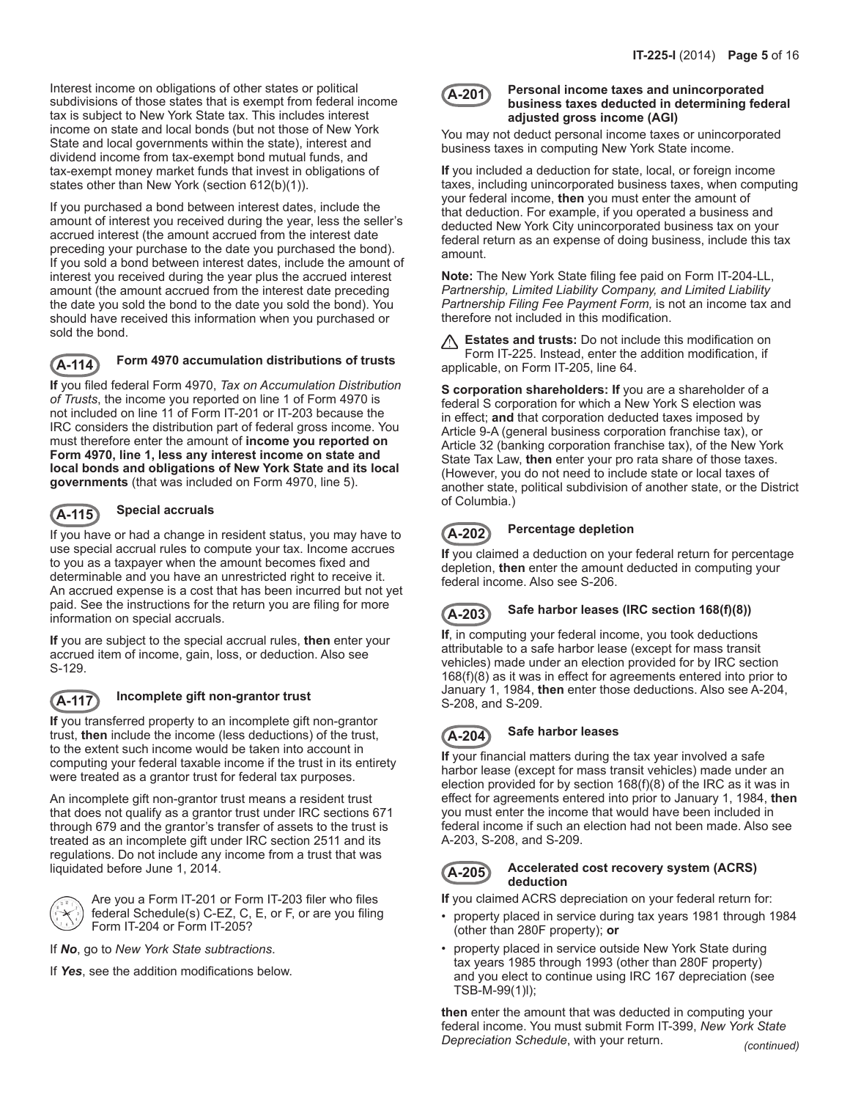Interest income on obligations of other states or political subdivisions of those states that is exempt from federal income tax is subject to New York State tax. This includes interest income on state and local bonds (but not those of New York State and local governments within the state), interest and dividend income from tax-exempt bond mutual funds, and tax-exempt money market funds that invest in obligations of states other than New York (section 612(b)(1)).

If you purchased a bond between interest dates, include the amount of interest you received during the year, less the seller's accrued interest (the amount accrued from the interest date preceding your purchase to the date you purchased the bond). If you sold a bond between interest dates, include the amount of interest you received during the year plus the accrued interest amount (the amount accrued from the interest date preceding the date you sold the bond to the date you sold the bond). You should have received this information when you purchased or sold the bond.

## **A-114 Form 4970 accumulation distributions of trusts**

**If** you filed federal Form 4970, *Tax on Accumulation Distribution of Trusts*, the income you reported on line 1 of Form 4970 is not included on line 11 of Form IT‑201 or IT-203 because the IRC considers the distribution part of federal gross income. You must therefore enter the amount of **income you reported on Form 4970, line 1, less any interest income on state and local bonds and obligations of New York State and its local governments** (that was included on Form 4970, line 5).

## **A-115 Special accruals**

If you have or had a change in resident status, you may have to use special accrual rules to compute your tax. Income accrues to you as a taxpayer when the amount becomes fixed and determinable and you have an unrestricted right to receive it. An accrued expense is a cost that has been incurred but not yet paid. See the instructions for the return you are filing for more information on special accruals.

**If** you are subject to the special accrual rules, **then** enter your accrued item of income, gain, loss, or deduction. Also see S-129.



## **A-117 Incomplete gift non-grantor trust**

**If** you transferred property to an incomplete gift non-grantor trust, **then** include the income (less deductions) of the trust, to the extent such income would be taken into account in computing your federal taxable income if the trust in its entirety were treated as a grantor trust for federal tax purposes.

An incomplete gift non-grantor trust means a resident trust that does not qualify as a grantor trust under IRC sections 671 through 679 and the grantor's transfer of assets to the trust is treated as an incomplete gift under IRC section 2511 and its regulations. Do not include any income from a trust that was liquidated before June 1, 2014.



Are you a Form IT-201 or Form IT-203 filer who files federal Schedule(s) C-EZ, C, E, or F, or are you filing Form IT-204 or Form IT-205?

If *No*, go to *New York State subtractions*.

If *Yes*, see the addition modifications below.

#### **A-201 Personal income taxes and unincorporated business taxes deducted in determining federal adjusted gross income (AGI)**

You may not deduct personal income taxes or unincorporated business taxes in computing New York State income.

**If** you included a deduction for state, local, or foreign income taxes, including unincorporated business taxes, when computing your federal income, **then** you must enter the amount of that deduction. For example, if you operated a business and deducted New York City unincorporated business tax on your federal return as an expense of doing business, include this tax amount.

**Note:** The New York State filing fee paid on Form IT-204-LL, *Partnership, Limited Liability Company, and Limited Liability Partnership Filing Fee Payment Form,* is not an income tax and therefore not included in this modification.

**Estates and trusts:** Do not include this modification on Form IT-225. Instead, enter the addition modification, if applicable, on Form IT-205, line 64.

**S corporation shareholders: If** you are a shareholder of a federal S corporation for which a New York S election was in effect; **and** that corporation deducted taxes imposed by Article 9-A (general business corporation franchise tax), or Article 32 (banking corporation franchise tax), of the New York State Tax Law, **then** enter your pro rata share of those taxes. (However, you do not need to include state or local taxes of another state, political subdivision of another state, or the District of Columbia.)

## **A-202 Percentage depletion**

**If** you claimed a deduction on your federal return for percentage depletion, **then** enter the amount deducted in computing your federal income. Also see S-206.



## **A-203 Safe harbor leases (IRC section 168(f)(8))**

**If**, in computing your federal income, you took deductions attributable to a safe harbor lease (except for mass transit vehicles) made under an election provided for by IRC section 168(f)(8) as it was in effect for agreements entered into prior to January 1, 1984, **then** enter those deductions. Also see A-204, S-208, and S-209.

# **A-204 Safe harbor leases**

**If** your financial matters during the tax year involved a safe harbor lease (except for mass transit vehicles) made under an election provided for by section 168(f)(8) of the IRC as it was in effect for agreements entered into prior to January 1, 1984, **then** you must enter the income that would have been included in federal income if such an election had not been made. Also see A-203, S-208, and S-209.

#### **A-205 Accelerated cost recovery system (ACRS) deduction**

**If** you claimed ACRS depreciation on your federal return for:

- property placed in service during tax years 1981 through 1984 (other than 280F property); **or**
- property placed in service outside New York State during tax years 1985 through 1993 (other than 280F property) and you elect to continue using IRC 167 depreciation (see TSB‑M‑99(1)l);

**then** enter the amount that was deducted in computing your federal income. You must submit Form IT‑399, *New York State Depreciation Schedule*, with your return. *(continued)*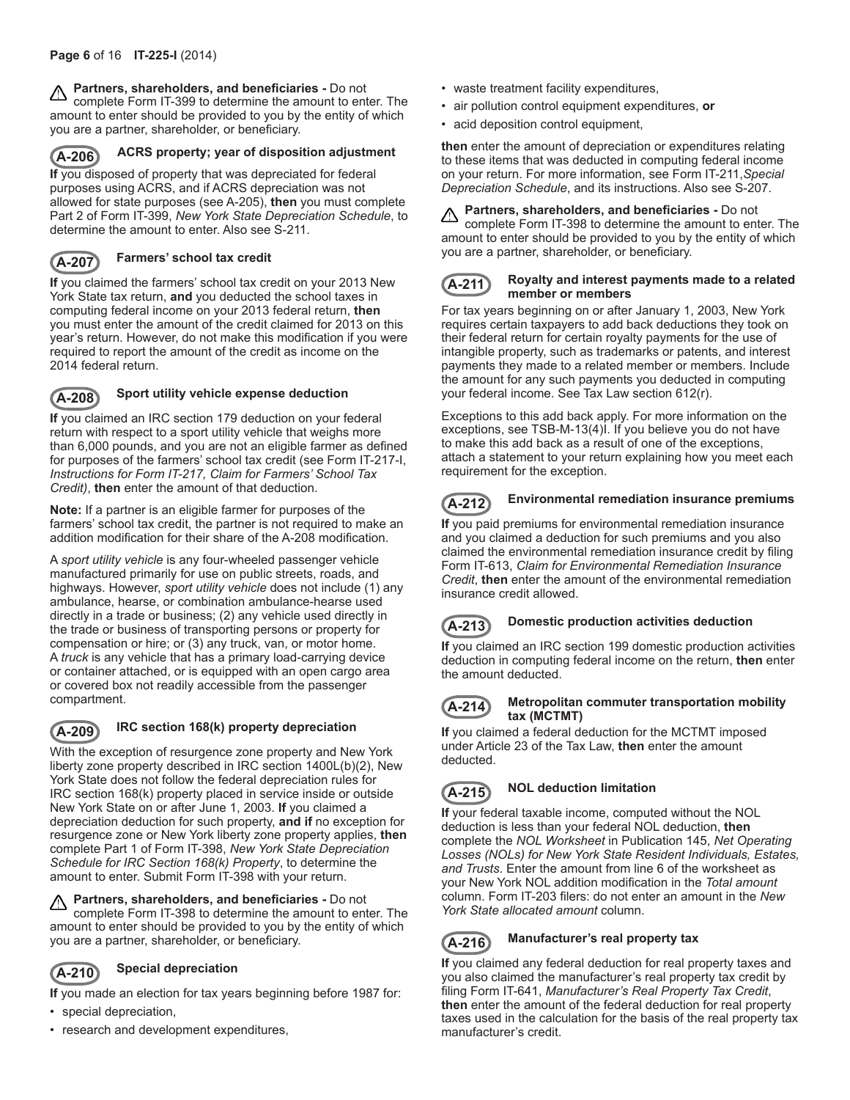**A** Partners, shareholders, and beneficiaries - Do not complete Form IT-399 to determine the amount to enter. The amount to enter should be provided to you by the entity of which you are a partner, shareholder, or beneficiary.



### **ACRS property; year of disposition adjustment**

**If** you disposed of property that was depreciated for federal purposes using ACRS, and if ACRS depreciation was not allowed for state purposes (see A-205), **then** you must complete Part 2 of Form IT-399, *New York State Depreciation Schedule*, to determine the amount to enter. Also see S-211.



## **A-207 Farmers' school tax credit**

**If** you claimed the farmers' school tax credit on your 2013 New York State tax return, **and** you deducted the school taxes in computing federal income on your 2013 federal return, **then** you must enter the amount of the credit claimed for 2013 on this year's return. However, do not make this modification if you were required to report the amount of the credit as income on the 2014 federal return.



## **A-208 Sport utility vehicle expense deduction**

**If** you claimed an IRC section 179 deduction on your federal return with respect to a sport utility vehicle that weighs more than 6,000 pounds, and you are not an eligible farmer as defined for purposes of the farmers' school tax credit (see Form IT‑217-I, *Instructions for Form IT-217, Claim for Farmers' School Tax Credit)*, **then** enter the amount of that deduction.

**Note:** If a partner is an eligible farmer for purposes of the farmers' school tax credit, the partner is not required to make an addition modification for their share of the A-208 modification.

A *sport utility vehicle* is any four-wheeled passenger vehicle manufactured primarily for use on public streets, roads, and highways. However, *sport utility vehicle* does not include (1) any ambulance, hearse, or combination ambulance-hearse used directly in a trade or business; (2) any vehicle used directly in the trade or business of transporting persons or property for compensation or hire; or (3) any truck, van, or motor home. A *truck* is any vehicle that has a primary load-carrying device or container attached, or is equipped with an open cargo area or covered box not readily accessible from the passenger compartment.

## **A-209 IRC section 168(k) property depreciation**

With the exception of resurgence zone property and New York liberty zone property described in IRC section 1400L(b)(2), New York State does not follow the federal depreciation rules for IRC section 168(k) property placed in service inside or outside New York State on or after June 1, 2003. **If** you claimed a depreciation deduction for such property, **and if** no exception for resurgence zone or New York liberty zone property applies, **then** complete Part 1 of Form IT-398, *New York State Depreciation Schedule for IRC Section 168(k) Property*, to determine the amount to enter. Submit Form IT-398 with your return.

**Partners, shareholders, and beneficiaries -** Do not <u>AN</u> complete Form IT-398 to determine the amount to enter. The amount to enter should be provided to you by the entity of which you are a partner, shareholder, or beneficiary.

## **A-210 Special depreciation**

**If** you made an election for tax years beginning before 1987 for:

- special depreciation,
- research and development expenditures,
- waste treatment facility expenditures,
- air pollution control equipment expenditures, **or**
- acid deposition control equipment,

**then** enter the amount of depreciation or expenditures relating to these items that was deducted in computing federal income on your return. For more information, see Form IT-211,*Special Depreciation Schedule*, and its instructions. Also see S-207.

#### **Partners, shareholders, and beneficiaries -** Do not ⚠

complete Form IT-398 to determine the amount to enter. The amount to enter should be provided to you by the entity of which you are a partner, shareholder, or beneficiary.

## **A-211 Royalty and interest payments made to a related member or members**

For tax years beginning on or after January 1, 2003, New York requires certain taxpayers to add back deductions they took on their federal return for certain royalty payments for the use of intangible property, such as trademarks or patents, and interest payments they made to a related member or members. Include the amount for any such payments you deducted in computing your federal income. See Tax Law section 612(r).

Exceptions to this add back apply. For more information on the exceptions, see TSB-M-13(4)I. If you believe you do not have to make this add back as a result of one of the exceptions, attach a statement to your return explaining how you meet each requirement for the exception.

## **A-212 Environmental remediation insurance premiums**

**If** you paid premiums for environmental remediation insurance and you claimed a deduction for such premiums and you also claimed the environmental remediation insurance credit by filing Form IT-613, *Claim for Environmental Remediation Insurance Credit*, **then** enter the amount of the environmental remediation insurance credit allowed.

## **A-213 Domestic production activities deduction**

**If** you claimed an IRC section 199 domestic production activities deduction in computing federal income on the return, **then** enter the amount deducted.



#### **A-214 Metropolitan commuter transportation mobility tax (MCTMT)**

**If** you claimed a federal deduction for the MCTMT imposed under Article 23 of the Tax Law, **then** enter the amount deducted.

# **A-215 NOL deduction limitation**

**If** your federal taxable income, computed without the NOL deduction is less than your federal NOL deduction, **then** complete the *NOL Worksheet* in Publication 145, *Net Operating Losses (NOLs) for New York State Resident Individuals, Estates, and Trusts*. Enter the amount from line 6 of the worksheet as your New York NOL addition modification in the *Total amount* column. Form IT-203 filers: do not enter an amount in the *New York State allocated amount* column.

## **A-216 Manufacturer's real property tax**

**If** you claimed any federal deduction for real property taxes and you also claimed the manufacturer's real property tax credit by filing Form IT-641, *Manufacturer's Real Property Tax Credit*, **then** enter the amount of the federal deduction for real property taxes used in the calculation for the basis of the real property tax manufacturer's credit.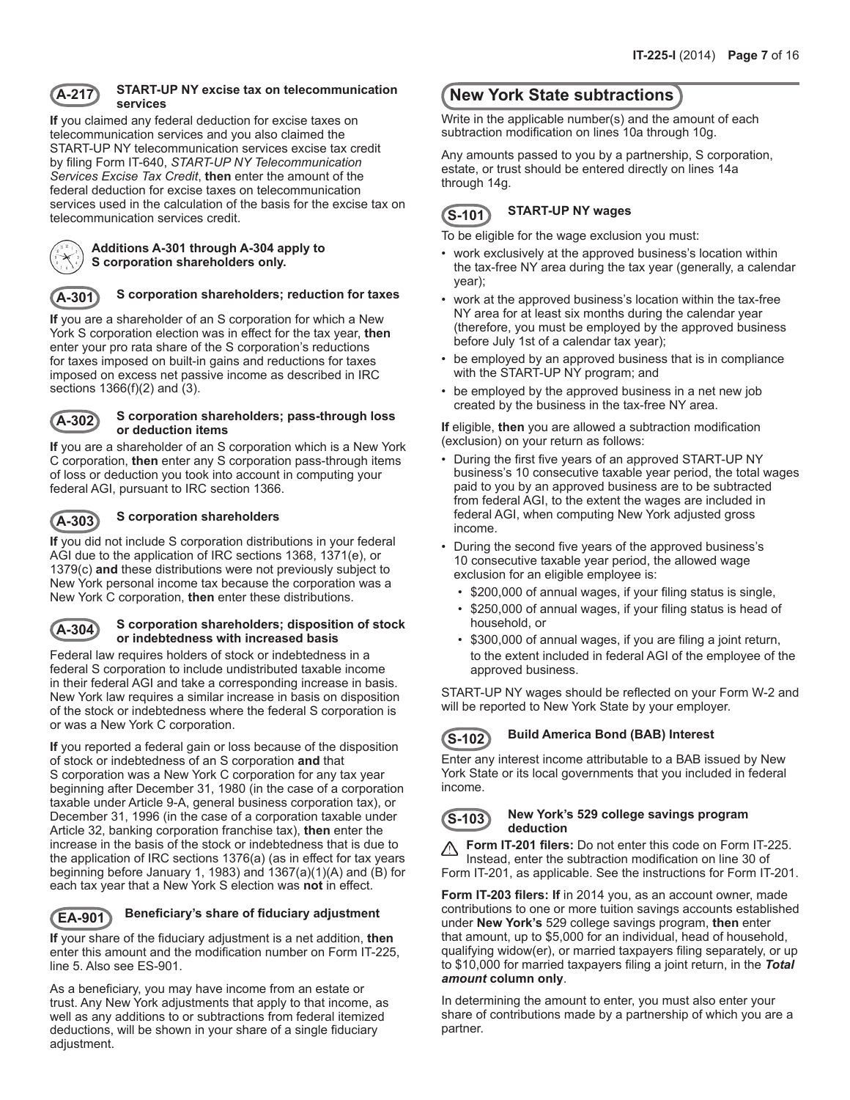

### **A-217 START-UP NY excise tax on telecommunication services**

**If** you claimed any federal deduction for excise taxes on telecommunication services and you also claimed the START-UP NY telecommunication services excise tax credit by filing Form IT-640, *START-UP NY Telecommunication Services Excise Tax Credit*, **then** enter the amount of the federal deduction for excise taxes on telecommunication services used in the calculation of the basis for the excise tax on telecommunication services credit.



**Additions A-301 through A-304 apply to S corporation shareholders only.**

## **A-301 S corporation shareholders; reduction for taxes**

**If** you are a shareholder of an S corporation for which a New York S corporation election was in effect for the tax year, **then** enter your pro rata share of the S corporation's reductions for taxes imposed on built-in gains and reductions for taxes imposed on excess net passive income as described in IRC sections 1366(f)(2) and (3).



#### **A-302 S corporation shareholders; pass-through loss or deduction items**

**If** you are a shareholder of an S corporation which is a New York C corporation, **then** enter any S corporation pass-through items of loss or deduction you took into account in computing your federal AGI, pursuant to IRC section 1366.



## **A-303 S corporation shareholders**

**If** you did not include S corporation distributions in your federal AGI due to the application of IRC sections 1368, 1371(e), or 1379(c) **and** these distributions were not previously subject to New York personal income tax because the corporation was a New York C corporation, **then** enter these distributions.

#### **A-304 S corporation shareholders; disposition of stock or indebtedness with increased basis**

Federal law requires holders of stock or indebtedness in a federal S corporation to include undistributed taxable income in their federal AGI and take a corresponding increase in basis. New York law requires a similar increase in basis on disposition of the stock or indebtedness where the federal S corporation is or was a New York C corporation.

**If** you reported a federal gain or loss because of the disposition of stock or indebtedness of an S corporation **and** that S corporation was a New York C corporation for any tax year beginning after December 31, 1980 (in the case of a corporation taxable under Article 9‑A, general business corporation tax), or December 31, 1996 (in the case of a corporation taxable under Article 32, banking corporation franchise tax), **then** enter the increase in the basis of the stock or indebtedness that is due to the application of IRC sections 1376(a) (as in effect for tax years beginning before January 1, 1983) and 1367(a)(1)(A) and (B) for each tax year that a New York S election was **not** in effect.

## **EA-901 Beneficiary's share of fiduciary adjustment**

**If** your share of the fiduciary adjustment is a net addition, **then** enter this amount and the modification number on Form IT-225, line 5. Also see ES-901.

As a beneficiary, you may have income from an estate or trust. Any New York adjustments that apply to that income, as well as any additions to or subtractions from federal itemized deductions, will be shown in your share of a single fiduciary adjustment.

# **New York State subtractions**

Write in the applicable number(s) and the amount of each subtraction modification on lines 10a through 10g.

Any amounts passed to you by a partnership, S corporation, estate, or trust should be entered directly on lines 14a through 14g.

# **S-101 START-UP NY wages**

To be eligible for the wage exclusion you must:

- work exclusively at the approved business's location within the tax-free NY area during the tax year (generally, a calendar year);
- work at the approved business's location within the tax-free NY area for at least six months during the calendar year (therefore, you must be employed by the approved business before July 1st of a calendar tax year);
- be employed by an approved business that is in compliance with the START-UP NY program; and
- be employed by the approved business in a net new job created by the business in the tax-free NY area.

**If** eligible, **then** you are allowed a subtraction modification (exclusion) on your return as follows:

- During the first five years of an approved START-UP NY business's 10 consecutive taxable year period, the total wages paid to you by an approved business are to be subtracted from federal AGI, to the extent the wages are included in federal AGI, when computing New York adjusted gross income.
- During the second five years of the approved business's 10 consecutive taxable year period, the allowed wage exclusion for an eligible employee is:
	- \$200,000 of annual wages, if your filing status is single,
	- \$250,000 of annual wages, if your filing status is head of household, or
	- \$300,000 of annual wages, if you are filing a joint return, to the extent included in federal AGI of the employee of the approved business.

START-UP NY wages should be reflected on your Form W-2 and will be reported to New York State by your employer.

## **S-102 Build America Bond (BAB) Interest**

Enter any interest income attributable to a BAB issued by New York State or its local governments that you included in federal income.



#### **S-103 New York's 529 college savings program deduction**

**Form IT-201 filers:** Do not enter this code on Form IT-225. Δ Instead, enter the subtraction modification on line 30 of Form IT-201, as applicable. See the instructions for Form IT-201.

**Form IT-203 filers: If** in 2014 you, as an account owner, made contributions to one or more tuition savings accounts established under **New York's** 529 college savings program, **then** enter that amount, up to \$5,000 for an individual, head of household, qualifying widow(er), or married taxpayers filing separately, or up to \$10,000 for married taxpayers filing a joint return, in the *Total amount* **column only**.

In determining the amount to enter, you must also enter your share of contributions made by a partnership of which you are a partner.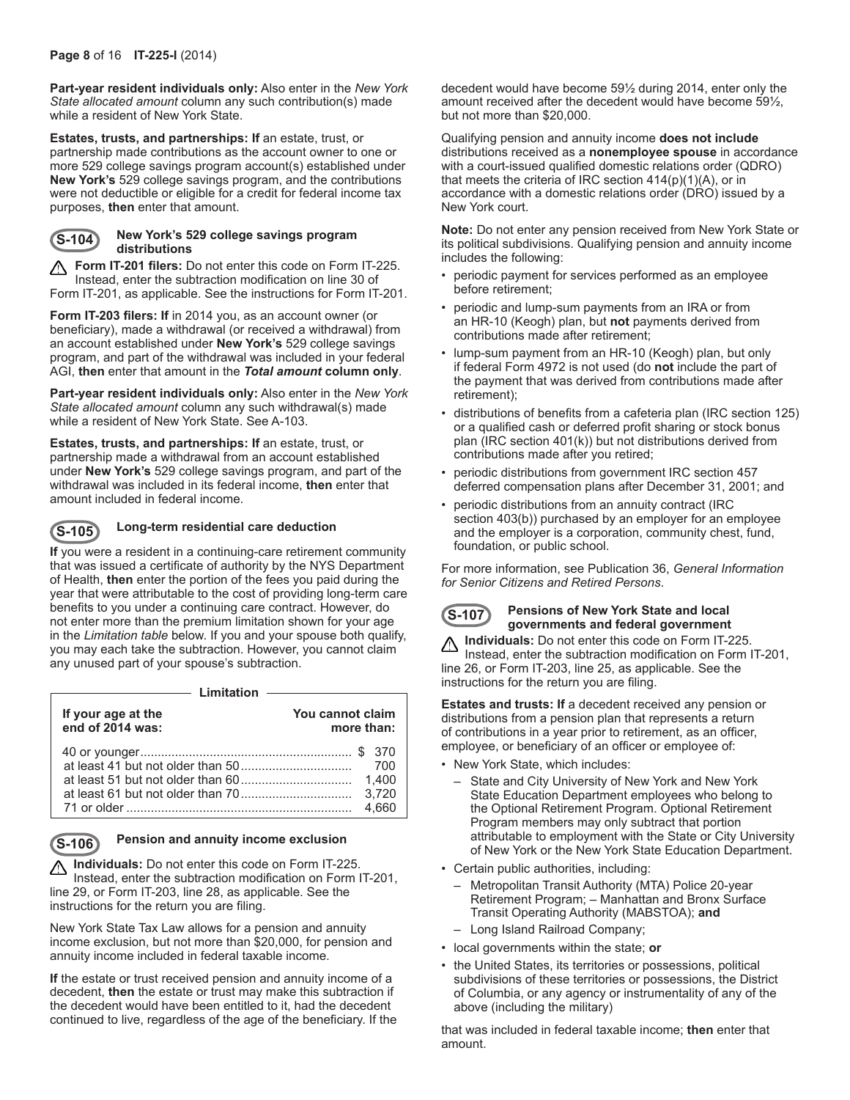**Part-year resident individuals only:** Also enter in the *New York State allocated amount* column any such contribution(s) made while a resident of New York State.

**Estates, trusts, and partnerships: If** an estate, trust, or partnership made contributions as the account owner to one or more 529 college savings program account(s) established under **New York's** 529 college savings program, and the contributions were not deductible or eligible for a credit for federal income tax purposes, **then** enter that amount.



#### **S-104 New York's 529 college savings program distributions**

**A Form IT-201 filers:** Do not enter this code on Form IT-225. Instead, enter the subtraction modification on line 30 of Form IT-201, as applicable. See the instructions for Form IT-201.

**Form IT-203 filers: If** in 2014 you, as an account owner (or beneficiary), made a withdrawal (or received a withdrawal) from an account established under **New York's** 529 college savings program, and part of the withdrawal was included in your federal AGI, **then** enter that amount in the *Total amount* **column only**.

**Part-year resident individuals only:** Also enter in the *New York State allocated amount* column any such withdrawal(s) made while a resident of New York State. See A-103.

**Estates, trusts, and partnerships: If** an estate, trust, or partnership made a withdrawal from an account established under **New York's** 529 college savings program, and part of the withdrawal was included in its federal income, **then** enter that amount included in federal income.



## **S-105 Long-term residential care deduction**

**If** you were a resident in a continuing-care retirement community that was issued a certificate of authority by the NYS Department of Health, **then** enter the portion of the fees you paid during the year that were attributable to the cost of providing long-term care benefits to you under a continuing care contract. However, do not enter more than the premium limitation shown for your age in the *Limitation table* below. If you and your spouse both qualify, you may each take the subtraction. However, you cannot claim any unused part of your spouse's subtraction.

- Limitation -

| You cannot claim<br>If your age at the<br>end of 2014 was:<br>more than: |                         |
|--------------------------------------------------------------------------|-------------------------|
|                                                                          | 1.400<br>3.720<br>4.660 |

## **S-106 Pension and annuity income exclusion**

**Individuals:** Do not enter this code on Form IT-225. Instead, enter the subtraction modification on Form IT-201, line 29, or Form IT-203, line 28, as applicable. See the instructions for the return you are filing.

New York State Tax Law allows for a pension and annuity income exclusion, but not more than \$20,000, for pension and annuity income included in federal taxable income.

**If** the estate or trust received pension and annuity income of a decedent, **then** the estate or trust may make this subtraction if the decedent would have been entitled to it, had the decedent continued to live, regardless of the age of the beneficiary. If the decedent would have become 59½ during 2014, enter only the amount received after the decedent would have become 59½, but not more than \$20,000.

Qualifying pension and annuity income **does not include** distributions received as a **nonemployee spouse** in accordance with a court-issued qualified domestic relations order (QDRO) that meets the criteria of IRC section  $414(p)(1)(A)$ , or in accordance with a domestic relations order (DRO) issued by a New York court.

**Note:** Do not enter any pension received from New York State or its political subdivisions. Qualifying pension and annuity income includes the following:

- periodic payment for services performed as an employee before retirement;
- periodic and lump-sum payments from an IRA or from an HR-10 (Keogh) plan, but **not** payments derived from contributions made after retirement;
- lump-sum payment from an HR-10 (Keogh) plan, but only if federal Form 4972 is not used (do **not** include the part of the payment that was derived from contributions made after retirement);
- distributions of benefits from a cafeteria plan (IRC section 125) or a qualified cash or deferred profit sharing or stock bonus plan (IRC section 401(k)) but not distributions derived from contributions made after you retired;
- periodic distributions from government IRC section 457 deferred compensation plans after December 31, 2001; and
- periodic distributions from an annuity contract (IRC section 403(b)) purchased by an employer for an employee and the employer is a corporation, community chest, fund, foundation, or public school.

For more information, see Publication 36, *General Information for Senior Citizens and Retired Persons*.



#### **S-107 Pensions of New York State and local governments and federal government**

**Individuals:** Do not enter this code on Form IT-225. ⚠ Instead, enter the subtraction modification on Form IT-201, line 26, or Form IT-203, line 25, as applicable. See the instructions for the return you are filing.

**Estates and trusts: If** a decedent received any pension or distributions from a pension plan that represents a return of contributions in a year prior to retirement, as an officer, employee, or beneficiary of an officer or employee of:

- New York State, which includes:
	- State and City University of New York and New York State Education Department employees who belong to the Optional Retirement Program. Optional Retirement Program members may only subtract that portion attributable to employment with the State or City University of New York or the New York State Education Department.
- Certain public authorities, including:
	- Metropolitan Transit Authority (MTA) Police 20-year Retirement Program; – Manhattan and Bronx Surface Transit Operating Authority (MABSTOA); **and**
	- Long Island Railroad Company;
- local governments within the state; **or**
- the United States, its territories or possessions, political subdivisions of these territories or possessions, the District of Columbia, or any agency or instrumentality of any of the above (including the military)

that was included in federal taxable income; **then** enter that amount.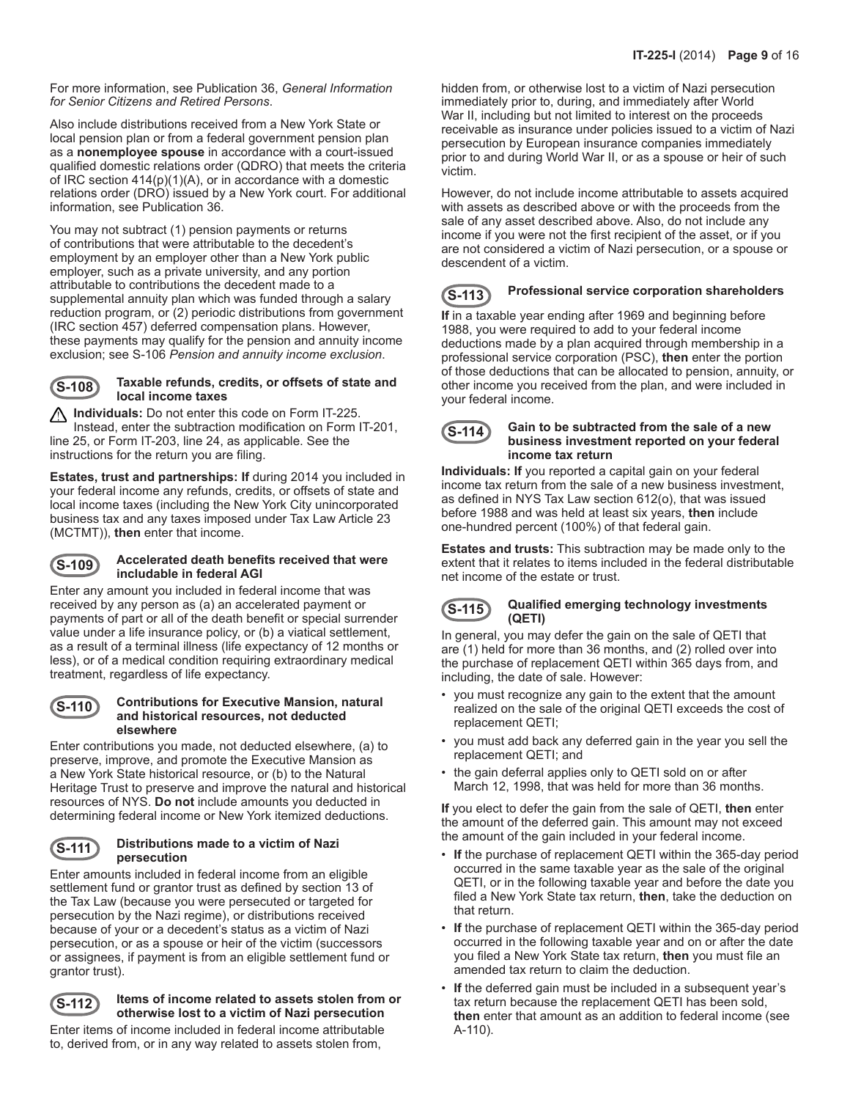For more information, see Publication 36, *General Information for Senior Citizens and Retired Persons*.

Also include distributions received from a New York State or local pension plan or from a federal government pension plan as a **nonemployee spouse** in accordance with a court-issued qualified domestic relations order (QDRO) that meets the criteria of IRC section 414(p)(1)(A), or in accordance with a domestic relations order (DRO) issued by a New York court. For additional information, see Publication 36.

You may not subtract (1) pension payments or returns of contributions that were attributable to the decedent's employment by an employer other than a New York public employer, such as a private university, and any portion attributable to contributions the decedent made to a supplemental annuity plan which was funded through a salary reduction program, or (2) periodic distributions from government (IRC section 457) deferred compensation plans. However, these payments may qualify for the pension and annuity income exclusion; see S-106 *Pension and annuity income exclusion*.

#### **S-108 Taxable refunds, credits, or offsets of state and local income taxes**

**1 Individuals:** Do not enter this code on Form IT-225. Instead, enter the subtraction modification on Form IT-201, line 25, or Form IT-203, line 24, as applicable. See the instructions for the return you are filing.

**Estates, trust and partnerships: If** during 2014 you included in your federal income any refunds, credits, or offsets of state and local income taxes (including the New York City unincorporated business tax and any taxes imposed under Tax Law Article 23 (MCTMT)), **then** enter that income.

#### **S-109 Accelerated death benefits received that were includable in federal AGI**

Enter any amount you included in federal income that was received by any person as (a) an accelerated payment or payments of part or all of the death benefit or special surrender value under a life insurance policy, or (b) a viatical settlement, as a result of a terminal illness (life expectancy of 12 months or less), or of a medical condition requiring extraordinary medical treatment, regardless of life expectancy.

#### **S-110 Contributions for Executive Mansion, natural and historical resources, not deducted elsewhere**

Enter contributions you made, not deducted elsewhere, (a) to preserve, improve, and promote the Executive Mansion as a New York State historical resource, or (b) to the Natural Heritage Trust to preserve and improve the natural and historical resources of NYS. **Do not** include amounts you deducted in determining federal income or New York itemized deductions.

#### **S-111 Distributions made to a victim of Nazi persecution**

Enter amounts included in federal income from an eligible settlement fund or grantor trust as defined by section 13 of the Tax Law (because you were persecuted or targeted for persecution by the Nazi regime), or distributions received because of your or a decedent's status as a victim of Nazi persecution, or as a spouse or heir of the victim (successors or assignees, if payment is from an eligible settlement fund or grantor trust).

## **S-112 Items of income related to assets stolen from or otherwise lost to a victim of Nazi persecution**

Enter items of income included in federal income attributable to, derived from, or in any way related to assets stolen from,

hidden from, or otherwise lost to a victim of Nazi persecution immediately prior to, during, and immediately after World War II, including but not limited to interest on the proceeds receivable as insurance under policies issued to a victim of Nazi persecution by European insurance companies immediately prior to and during World War II, or as a spouse or heir of such victim.

However, do not include income attributable to assets acquired with assets as described above or with the proceeds from the sale of any asset described above. Also, do not include any income if you were not the first recipient of the asset, or if you are not considered a victim of Nazi persecution, or a spouse or descendent of a victim.

# **S-113 Professional service corporation shareholders**

**If** in a taxable year ending after 1969 and beginning before 1988, you were required to add to your federal income deductions made by a plan acquired through membership in a professional service corporation (PSC), **then** enter the portion of those deductions that can be allocated to pension, annuity, or other income you received from the plan, and were included in your federal income.



#### **S-114 Gain to be subtracted from the sale of a new business investment reported on your federal income tax return**

**Individuals: If** you reported a capital gain on your federal income tax return from the sale of a new business investment, as defined in NYS Tax Law section 612(o), that was issued before 1988 and was held at least six years, **then** include one-hundred percent (100%) of that federal gain.

**Estates and trusts:** This subtraction may be made only to the extent that it relates to items included in the federal distributable net income of the estate or trust.

#### **S-115 Qualified emerging technology investments (QETI)**

In general, you may defer the gain on the sale of QETI that are (1) held for more than 36 months, and (2) rolled over into the purchase of replacement QETI within 365 days from, and including, the date of sale. However:

- you must recognize any gain to the extent that the amount realized on the sale of the original QETI exceeds the cost of replacement QETI;
- you must add back any deferred gain in the year you sell the replacement QETI; and
- the gain deferral applies only to QETI sold on or after March 12, 1998, that was held for more than 36 months.

**If** you elect to defer the gain from the sale of QETI, **then** enter the amount of the deferred gain. This amount may not exceed the amount of the gain included in your federal income.

- **If** the purchase of replacement QETI within the 365-day period occurred in the same taxable year as the sale of the original QETI, or in the following taxable year and before the date you filed a New York State tax return, **then**, take the deduction on that return.
- **If** the purchase of replacement QETI within the 365-day period occurred in the following taxable year and on or after the date you filed a New York State tax return, **then** you must file an amended tax return to claim the deduction.
- **If** the deferred gain must be included in a subsequent year's tax return because the replacement QETI has been sold, **then** enter that amount as an addition to federal income (see A-110).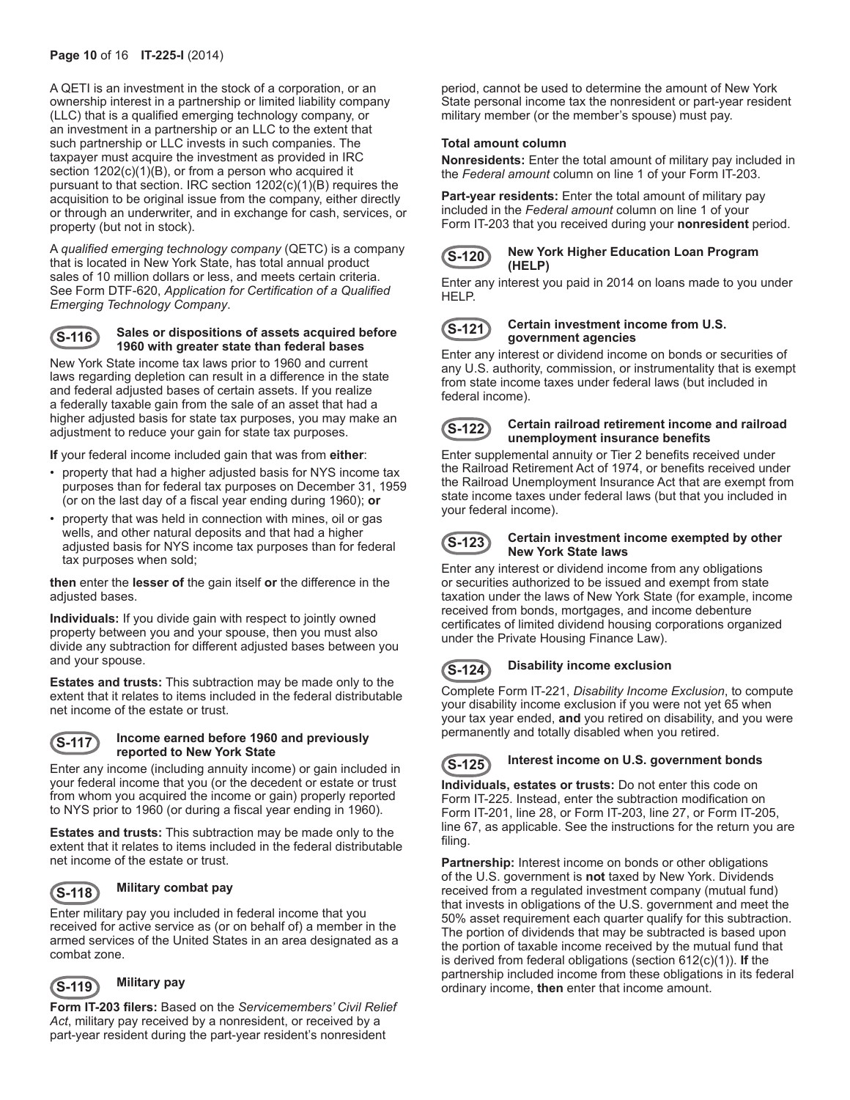A QETI is an investment in the stock of a corporation, or an ownership interest in a partnership or limited liability company (LLC) that is a qualified emerging technology company, or an investment in a partnership or an LLC to the extent that such partnership or LLC invests in such companies. The taxpayer must acquire the investment as provided in IRC section  $1202(c)(1)(B)$ , or from a person who acquired it pursuant to that section. IRC section 1202(c)(1)(B) requires the acquisition to be original issue from the company, either directly or through an underwriter, and in exchange for cash, services, or property (but not in stock).

A *qualified emerging technology company* (QETC) is a company that is located in New York State, has total annual product sales of 10 million dollars or less, and meets certain criteria. See Form DTF-620, *Application for Certification of a Qualified Emerging Technology Company*.

### **S-116 Sales or dispositions of assets acquired before 1960 with greater state than federal bases**

New York State income tax laws prior to 1960 and current laws regarding depletion can result in a difference in the state and federal adjusted bases of certain assets. If you realize a federally taxable gain from the sale of an asset that had a higher adjusted basis for state tax purposes, you may make an adjustment to reduce your gain for state tax purposes.

**If** your federal income included gain that was from **either**:

- property that had a higher adjusted basis for NYS income tax purposes than for federal tax purposes on December 31, 1959 (or on the last day of a fiscal year ending during 1960); **or**
- property that was held in connection with mines, oil or gas wells, and other natural deposits and that had a higher adjusted basis for NYS income tax purposes than for federal tax purposes when sold;

**then** enter the **lesser of** the gain itself **or** the difference in the adjusted bases.

**Individuals:** If you divide gain with respect to jointly owned property between you and your spouse, then you must also divide any subtraction for different adjusted bases between you and your spouse.

**Estates and trusts:** This subtraction may be made only to the extent that it relates to items included in the federal distributable net income of the estate or trust.

#### **S-117 Income earned before 1960 and previously reported to New York State**

Enter any income (including annuity income) or gain included in your federal income that you (or the decedent or estate or trust from whom you acquired the income or gain) properly reported to NYS prior to 1960 (or during a fiscal year ending in 1960).

**Estates and trusts:** This subtraction may be made only to the extent that it relates to items included in the federal distributable net income of the estate or trust.



## **S-118 Military combat pay**

Enter military pay you included in federal income that you received for active service as (or on behalf of) a member in the armed services of the United States in an area designated as a combat zone.



## **S-119 Military pay**

**Form IT-203 filers:** Based on the *Servicemembers' Civil Relief Act*, military pay received by a nonresident, or received by a part-year resident during the part-year resident's nonresident

period, cannot be used to determine the amount of New York State personal income tax the nonresident or part-year resident military member (or the member's spouse) must pay.

### **Total amount column**

**Nonresidents:** Enter the total amount of military pay included in the *Federal amount* column on line 1 of your Form IT-203.

**Part-year residents:** Enter the total amount of military pay included in the *Federal amount* column on line 1 of your Form IT-203 that you received during your **nonresident** period.



#### **S-120 New York Higher Education Loan Program (HELP)**

Enter any interest you paid in 2014 on loans made to you under HELP.



#### **S-121 Certain investment income from U.S. government agencies**

Enter any interest or dividend income on bonds or securities of any U.S. authority, commission, or instrumentality that is exempt from state income taxes under federal laws (but included in federal income).



#### **S-122 Certain railroad retirement income and railroad unemployment insurance benefits**

Enter supplemental annuity or Tier 2 benefits received under the Railroad Retirement Act of 1974, or benefits received under the Railroad Unemployment Insurance Act that are exempt from state income taxes under federal laws (but that you included in your federal income).



#### **S-123 Certain investment income exempted by other New York State laws**

Enter any interest or dividend income from any obligations or securities authorized to be issued and exempt from state taxation under the laws of New York State (for example, income received from bonds, mortgages, and income debenture certificates of limited dividend housing corporations organized under the Private Housing Finance Law).

### **S-124 Disability income exclusion**

Complete Form IT-221, *Disability Income Exclusion*, to compute your disability income exclusion if you were not yet 65 when your tax year ended, **and** you retired on disability, and you were permanently and totally disabled when you retired.



# **S-125 Interest income on U.S. government bonds**

**Individuals, estates or trusts:** Do not enter this code on Form IT-225. Instead, enter the subtraction modification on Form IT-201, line 28, or Form IT-203, line 27, or Form IT-205, line 67, as applicable. See the instructions for the return you are filing.

**Partnership:** Interest income on bonds or other obligations of the U.S. government is **not** taxed by New York. Dividends received from a regulated investment company (mutual fund) that invests in obligations of the U.S. government and meet the 50% asset requirement each quarter qualify for this subtraction. The portion of dividends that may be subtracted is based upon the portion of taxable income received by the mutual fund that is derived from federal obligations (section 612(c)(1)). **If** the partnership included income from these obligations in its federal ordinary income, **then** enter that income amount.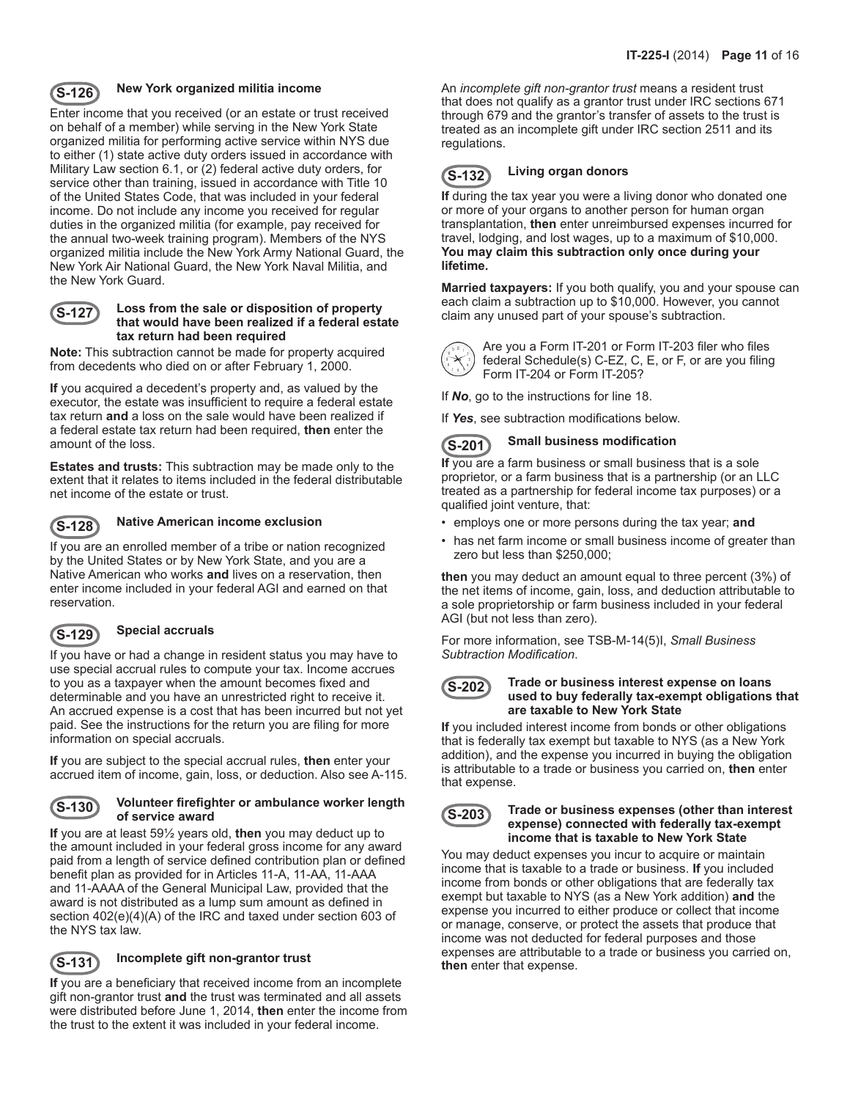

## **S-126 New York organized militia income**

Enter income that you received (or an estate or trust received on behalf of a member) while serving in the New York State organized militia for performing active service within NYS due to either (1) state active duty orders issued in accordance with Military Law section 6.1, or (2) federal active duty orders, for service other than training, issued in accordance with Title 10 of the United States Code, that was included in your federal income. Do not include any income you received for regular duties in the organized militia (for example, pay received for the annual two-week training program). Members of the NYS organized militia include the New York Army National Guard, the New York Air National Guard, the New York Naval Militia, and the New York Guard.



#### **S-127 Loss from the sale or disposition of property that would have been realized if a federal estate tax return had been required**

**Note:** This subtraction cannot be made for property acquired from decedents who died on or after February 1, 2000.

**If** you acquired a decedent's property and, as valued by the executor, the estate was insufficient to require a federal estate tax return **and** a loss on the sale would have been realized if a federal estate tax return had been required, **then** enter the amount of the loss.

**Estates and trusts:** This subtraction may be made only to the extent that it relates to items included in the federal distributable net income of the estate or trust.



## **S-128 Native American income exclusion**

If you are an enrolled member of a tribe or nation recognized by the United States or by New York State, and you are a Native American who works **and** lives on a reservation, then enter income included in your federal AGI and earned on that reservation.



## **S-129 Special accruals**

If you have or had a change in resident status you may have to use special accrual rules to compute your tax. Income accrues to you as a taxpayer when the amount becomes fixed and determinable and you have an unrestricted right to receive it. An accrued expense is a cost that has been incurred but not yet paid. See the instructions for the return you are filing for more information on special accruals.

**If** you are subject to the special accrual rules, **then** enter your accrued item of income, gain, loss, or deduction. Also see A-115.

#### **S-130 Volunteer firefighter or ambulance worker length of service award**

**If** you are at least 59½ years old, **then** you may deduct up to the amount included in your federal gross income for any award paid from a length of service defined contribution plan or defined benefit plan as provided for in Articles 11-A, 11-AA, 11-AAA and 11-AAAA of the General Municipal Law, provided that the award is not distributed as a lump sum amount as defined in section 402(e)(4)(A) of the IRC and taxed under section 603 of the NYS tax law.



## **S-131 Incomplete gift non-grantor trust**

**If** you are a beneficiary that received income from an incomplete gift non-grantor trust **and** the trust was terminated and all assets were distributed before June 1, 2014, **then** enter the income from the trust to the extent it was included in your federal income.

An *incomplete gift non-grantor trust* means a resident trust that does not qualify as a grantor trust under IRC sections 671 through 679 and the grantor's transfer of assets to the trust is treated as an incomplete gift under IRC section 2511 and its regulations.

# **S-132 Living organ donors**

**If** during the tax year you were a living donor who donated one or more of your organs to another person for human organ transplantation, **then** enter unreimbursed expenses incurred for travel, lodging, and lost wages, up to a maximum of \$10,000. **You may claim this subtraction only once during your lifetime.**

**Married taxpayers:** If you both qualify, you and your spouse can each claim a subtraction up to \$10,000. However, you cannot claim any unused part of your spouse's subtraction.



Are you a Form IT-201 or Form IT-203 filer who files federal Schedule(s) C-EZ, C, E, or F, or are you filing Form IT-204 or Form IT-205?

If *No*, go to the instructions for line 18.

If *Yes*, see subtraction modifications below.



## **S-201 Small business modification**

**If** you are a farm business or small business that is a sole proprietor, or a farm business that is a partnership (or an LLC treated as a partnership for federal income tax purposes) or a qualified joint venture, that:

- employs one or more persons during the tax year; **and**
- has net farm income or small business income of greater than zero but less than \$250,000;

**then** you may deduct an amount equal to three percent (3%) of the net items of income, gain, loss, and deduction attributable to a sole proprietorship or farm business included in your federal AGI (but not less than zero).

For more information, see TSB-M-14(5)I, *Small Business Subtraction Modification*.



#### **S-202 Trade or business interest expense on loans used to buy federally tax-exempt obligations that are taxable to New York State**

**If** you included interest income from bonds or other obligations that is federally tax exempt but taxable to NYS (as a New York addition), and the expense you incurred in buying the obligation is attributable to a trade or business you carried on, **then** enter that expense.



#### **S-203 Trade or business expenses (other than interest expense) connected with federally tax-exempt income that is taxable to New York State**

You may deduct expenses you incur to acquire or maintain income that is taxable to a trade or business. **If** you included income from bonds or other obligations that are federally tax exempt but taxable to NYS (as a New York addition) **and** the expense you incurred to either produce or collect that income or manage, conserve, or protect the assets that produce that income was not deducted for federal purposes and those expenses are attributable to a trade or business you carried on, **then** enter that expense.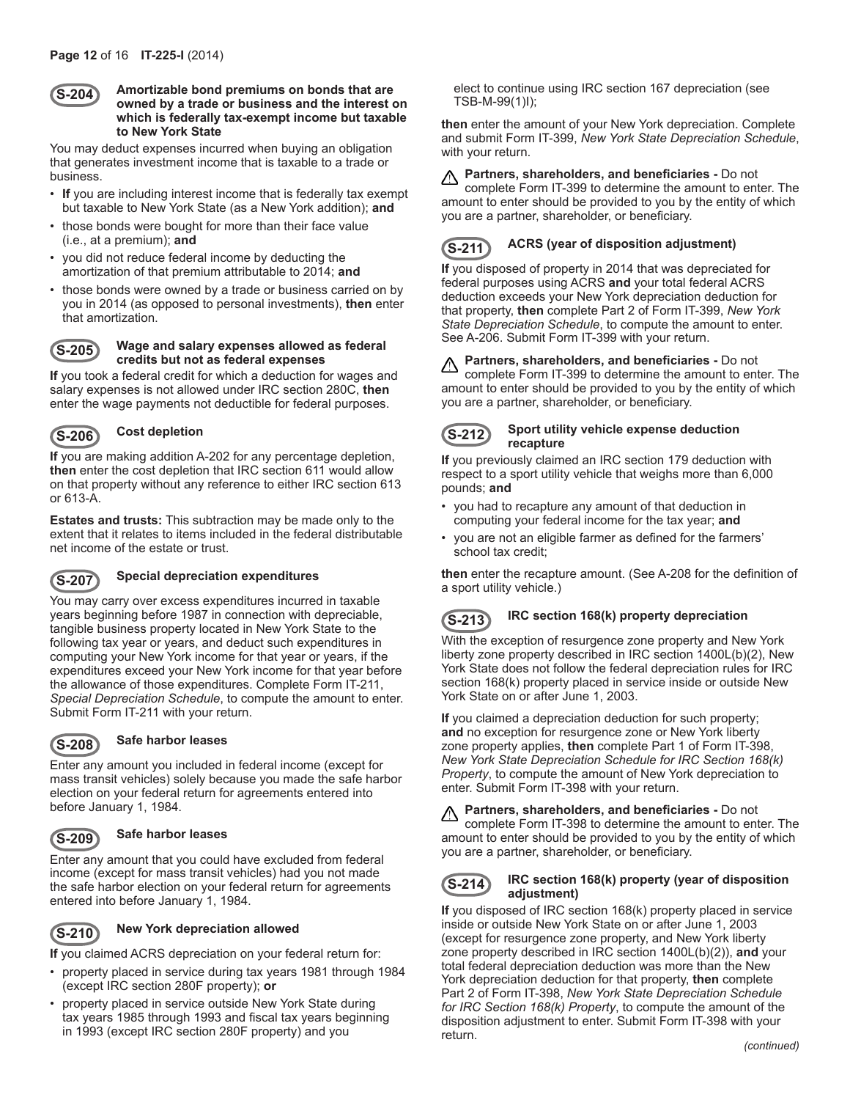

#### **S-204 Amortizable bond premiums on bonds that are owned by a trade or business and the interest on which is federally tax-exempt income but taxable to New York State**

You may deduct expenses incurred when buying an obligation that generates investment income that is taxable to a trade or business.

- **If** you are including interest income that is federally tax exempt but taxable to New York State (as a New York addition); **and**
- those bonds were bought for more than their face value (i.e., at a premium); **and**
- you did not reduce federal income by deducting the amortization of that premium attributable to 2014; **and**
- those bonds were owned by a trade or business carried on by you in 2014 (as opposed to personal investments), **then** enter that amortization.



### **S-205 Wage and salary expenses allowed as federal credits but not as federal expenses**

**If** you took a federal credit for which a deduction for wages and salary expenses is not allowed under IRC section 280C, **then** enter the wage payments not deductible for federal purposes.



## **S-206 Cost depletion**

**If** you are making addition A-202 for any percentage depletion, **then** enter the cost depletion that IRC section 611 would allow on that property without any reference to either IRC section 613 or 613-A.

**Estates and trusts:** This subtraction may be made only to the extent that it relates to items included in the federal distributable net income of the estate or trust.



## **S-207 Special depreciation expenditures**

You may carry over excess expenditures incurred in taxable years beginning before 1987 in connection with depreciable, tangible business property located in New York State to the following tax year or years, and deduct such expenditures in computing your New York income for that year or years, if the expenditures exceed your New York income for that year before the allowance of those expenditures. Complete Form IT-211, *Special Depreciation Schedule*, to compute the amount to enter. Submit Form IT-211 with your return.



## **S-208 Safe harbor leases**

Enter any amount you included in federal income (except for mass transit vehicles) solely because you made the safe harbor election on your federal return for agreements entered into before January 1, 1984.

## **S-209 Safe harbor leases**

Enter any amount that you could have excluded from federal income (except for mass transit vehicles) had you not made the safe harbor election on your federal return for agreements entered into before January 1, 1984.

**S-210 New York depreciation allowed**

**If** you claimed ACRS depreciation on your federal return for:

- property placed in service during tax years 1981 through 1984 (except IRC section 280F property); **or**
- property placed in service outside New York State during tax years 1985 through 1993 and fiscal tax years beginning in 1993 (except IRC section 280F property) and you

elect to continue using IRC section 167 depreciation (see TSB-M-99(1)I);

**then** enter the amount of your New York depreciation. Complete and submit Form IT-399, *New York State Depreciation Schedule*, with your return.

#### **Partners, shareholders, and beneficiaries -** Do not ⚠

complete Form IT-399 to determine the amount to enter. The amount to enter should be provided to you by the entity of which you are a partner, shareholder, or beneficiary.

## **S-211 ACRS (year of disposition adjustment)**

**If** you disposed of property in 2014 that was depreciated for federal purposes using ACRS **and** your total federal ACRS deduction exceeds your New York depreciation deduction for that property, **then** complete Part 2 of Form IT-399, *New York State Depreciation Schedule*, to compute the amount to enter. See A-206. Submit Form IT-399 with your return.

#### **Partners, shareholders, and beneficiaries -** Do not ⚠

complete Form IT-399 to determine the amount to enter. The amount to enter should be provided to you by the entity of which you are a partner, shareholder, or beneficiary.

#### **S-212 Sport utility vehicle expense deduction recapture**

**If** you previously claimed an IRC section 179 deduction with respect to a sport utility vehicle that weighs more than 6,000 pounds; **and**

- you had to recapture any amount of that deduction in computing your federal income for the tax year; **and**
- you are not an eligible farmer as defined for the farmers' school tax credit;

**then** enter the recapture amount. (See A-208 for the definition of a sport utility vehicle.)

## **S-213 IRC section 168(k) property depreciation**

With the exception of resurgence zone property and New York liberty zone property described in IRC section 1400L(b)(2), New York State does not follow the federal depreciation rules for IRC section 168(k) property placed in service inside or outside New York State on or after June 1, 2003.

**If** you claimed a depreciation deduction for such property; **and** no exception for resurgence zone or New York liberty zone property applies, **then** complete Part 1 of Form IT-398, *New York State Depreciation Schedule for IRC Section 168(k) Property*, to compute the amount of New York depreciation to enter. Submit Form IT-398 with your return.

**Partners, shareholders, and beneficiaries -** Do not ⚠ complete Form IT-398 to determine the amount to enter. The amount to enter should be provided to you by the entity of which you are a partner, shareholder, or beneficiary.

### **S-214 IRC section 168(k) property (year of disposition adjustment)**

**If** you disposed of IRC section 168(k) property placed in service inside or outside New York State on or after June 1, 2003 (except for resurgence zone property, and New York liberty zone property described in IRC section 1400L(b)(2)), **and** your total federal depreciation deduction was more than the New York depreciation deduction for that property, **then** complete Part 2 of Form IT‑398, *New York State Depreciation Schedule for IRC Section 168(k) Property*, to compute the amount of the disposition adjustment to enter. Submit Form IT-398 with your return.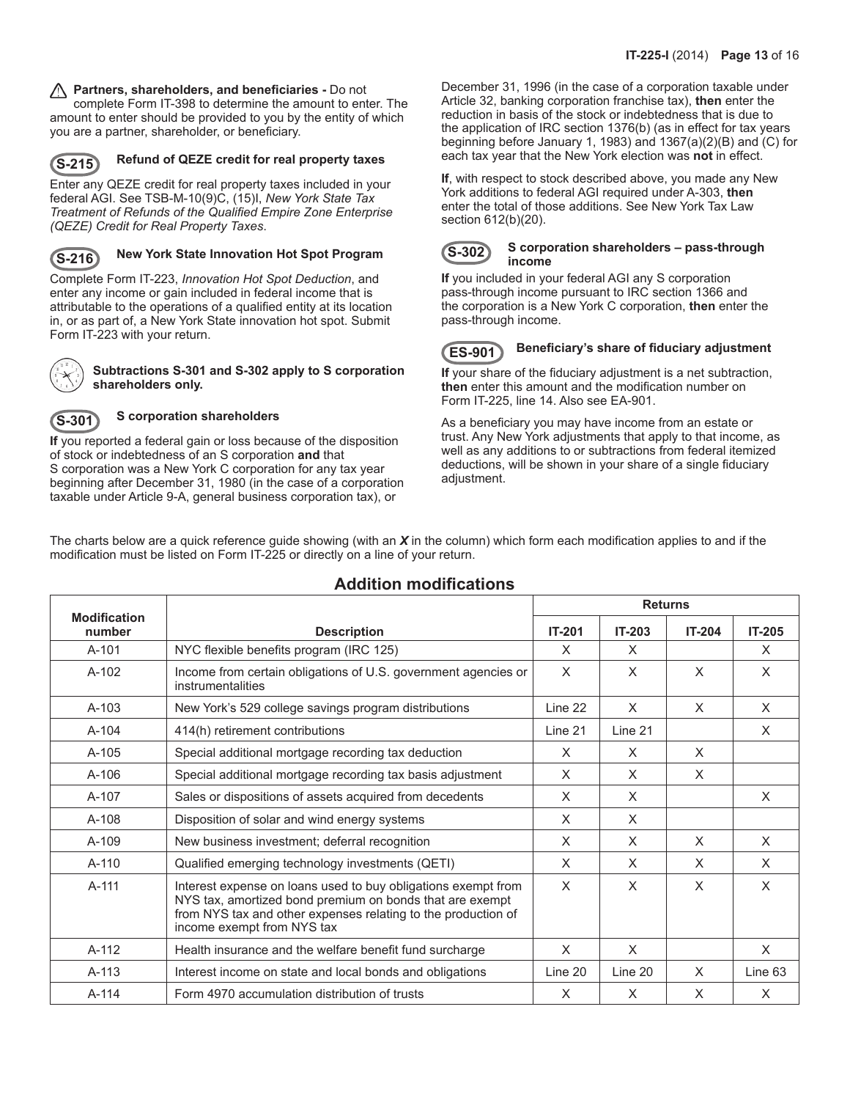### **Partners, shareholders, and beneficiaries -** Do not

complete Form IT-398 to determine the amount to enter. The amount to enter should be provided to you by the entity of which you are a partner, shareholder, or beneficiary.



## **S-215 Refund of QEZE credit for real property taxes**

Enter any QEZE credit for real property taxes included in your federal AGI. See TSB-M-10(9)C, (15)I, *New York State Tax Treatment of Refunds of the Qualified Empire Zone Enterprise (QEZE) Credit for Real Property Taxes*.



## **S-216 New York State Innovation Hot Spot Program**

Complete Form IT-223, *Innovation Hot Spot Deduction*, and enter any income or gain included in federal income that is attributable to the operations of a qualified entity at its location in, or as part of, a New York State innovation hot spot. Submit Form IT-223 with your return.



#### **Subtractions S-301 and S-302 apply to S corporation shareholders only.**

## **S-301 S corporation shareholders**

**If** you reported a federal gain or loss because of the disposition of stock or indebtedness of an S corporation **and** that S corporation was a New York C corporation for any tax year beginning after December 31, 1980 (in the case of a corporation

taxable under Article 9-A, general business corporation tax), or

December 31, 1996 (in the case of a corporation taxable under Article 32, banking corporation franchise tax), **then** enter the reduction in basis of the stock or indebtedness that is due to the application of IRC section 1376(b) (as in effect for tax years beginning before January 1, 1983) and 1367(a)(2)(B) and (C) for each tax year that the New York election was **not** in effect.

**If**, with respect to stock described above, you made any New York additions to federal AGI required under A-303, **then** enter the total of those additions. See New York Tax Law section 612(b)(20).



#### **S-302 S corporation shareholders – pass-through income**

**If** you included in your federal AGI any S corporation pass-through income pursuant to IRC section 1366 and the corporation is a New York C corporation, **then** enter the pass-through income.

### **ES-901 Beneficiary's share of fiduciary adjustment**

**If** your share of the fiduciary adjustment is a net subtraction, **then** enter this amount and the modification number on Form IT-225, line 14. Also see EA-901.

As a beneficiary you may have income from an estate or trust. Any New York adjustments that apply to that income, as well as any additions to or subtractions from federal itemized deductions, will be shown in your share of a single fiduciary adjustment.

The charts below are a quick reference guide showing (with an *X* in the column) which form each modification applies to and if the modification must be listed on Form IT-225 or directly on a line of your return.

|                               |                                                                                                                                                                                                                          | <b>Returns</b> |               |               |               |
|-------------------------------|--------------------------------------------------------------------------------------------------------------------------------------------------------------------------------------------------------------------------|----------------|---------------|---------------|---------------|
| <b>Modification</b><br>number | <b>Description</b>                                                                                                                                                                                                       | <b>IT-201</b>  | <b>IT-203</b> | <b>IT-204</b> | <b>IT-205</b> |
| $A-101$                       | NYC flexible benefits program (IRC 125)                                                                                                                                                                                  | X              | X             |               | X             |
| $A-102$                       | Income from certain obligations of U.S. government agencies or<br>instrumentalities                                                                                                                                      | $\times$       | X             | $\times$      | X             |
| $A-103$                       | New York's 529 college savings program distributions                                                                                                                                                                     | Line 22        | X             | $\times$      | X             |
| $A-104$                       | 414(h) retirement contributions                                                                                                                                                                                          | Line 21        | Line 21       |               | X             |
| $A-105$                       | Special additional mortgage recording tax deduction                                                                                                                                                                      | $\times$       | X             | $\times$      |               |
| $A-106$                       | Special additional mortgage recording tax basis adjustment                                                                                                                                                               | $\times$       | $\times$      | $\times$      |               |
| A-107                         | Sales or dispositions of assets acquired from decedents                                                                                                                                                                  | $\times$       | X             |               | X             |
| $A-108$                       | Disposition of solar and wind energy systems                                                                                                                                                                             | $\times$       | $\times$      |               |               |
| $A-109$                       | New business investment; deferral recognition                                                                                                                                                                            | $\times$       | $\times$      | $\times$      | X             |
| $A-110$                       | Qualified emerging technology investments (QETI)                                                                                                                                                                         | X              | $\times$      | $\times$      | X             |
| A-111                         | Interest expense on loans used to buy obligations exempt from<br>NYS tax, amortized bond premium on bonds that are exempt<br>from NYS tax and other expenses relating to the production of<br>income exempt from NYS tax | $\sf X$        | X             | $\times$      | X             |
| $A-112$                       | Health insurance and the welfare benefit fund surcharge                                                                                                                                                                  | $\times$       | X             |               | $\times$      |
| $A-113$                       | Interest income on state and local bonds and obligations                                                                                                                                                                 | Line 20        | Line 20       | $\times$      | Line 63       |
| $A-114$                       | Form 4970 accumulation distribution of trusts                                                                                                                                                                            | $\times$       | $\times$      | $\times$      | X             |

## **Addition modifications**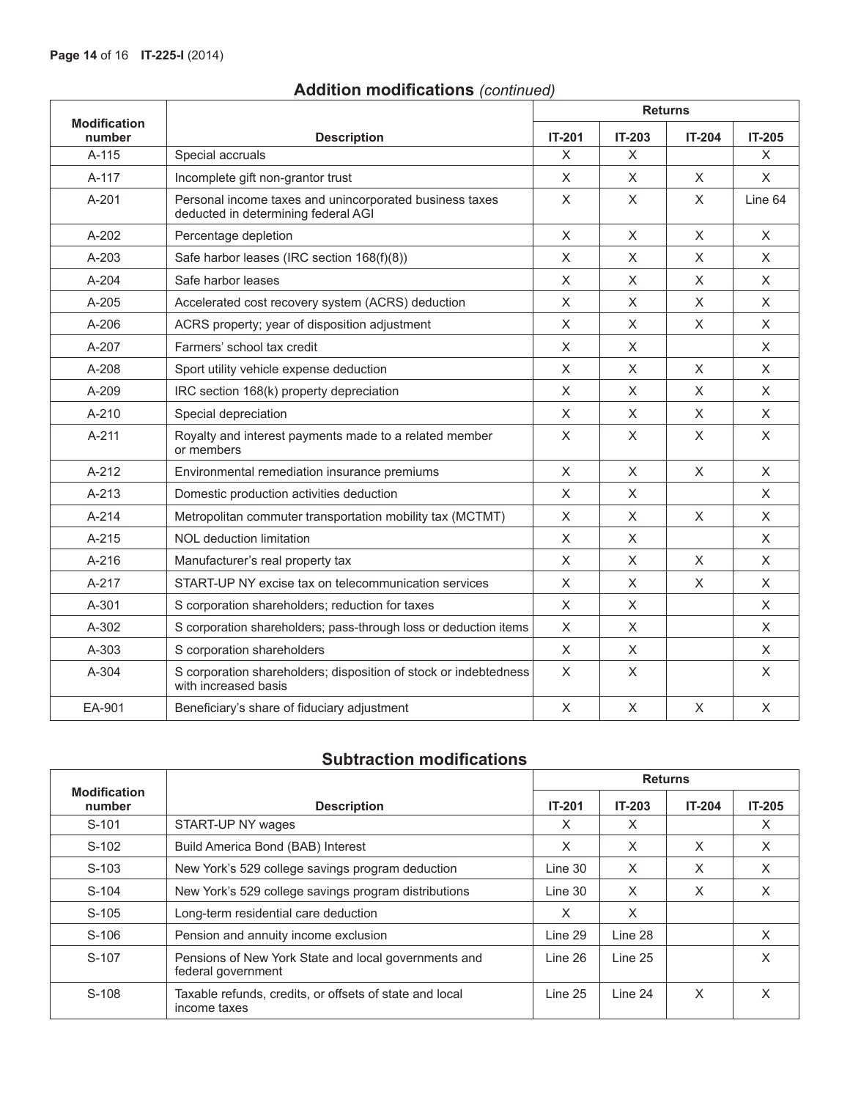|  | <b>Addition modifications (continued)</b> |  |
|--|-------------------------------------------|--|
|--|-------------------------------------------|--|

|                               |                                                                                                | <b>Returns</b> |               |          |               |
|-------------------------------|------------------------------------------------------------------------------------------------|----------------|---------------|----------|---------------|
| <b>Modification</b><br>number | <b>Description</b>                                                                             | <b>IT-201</b>  | <b>IT-203</b> | IT-204   | <b>IT-205</b> |
| $A-115$                       | Special accruals                                                                               | X              | X             |          | X             |
| A-117                         | Incomplete gift non-grantor trust                                                              | X              | X             | X        | X             |
| A-201                         | Personal income taxes and unincorporated business taxes<br>deducted in determining federal AGI | X              | X             | $\sf X$  | Line 64       |
| $A-202$                       | Percentage depletion                                                                           | $\times$       | X             | $\times$ | X             |
| $A - 203$                     | Safe harbor leases (IRC section 168(f)(8))                                                     | $\times$       | X             | $\times$ | $\times$      |
| A-204                         | Safe harbor leases                                                                             | X              | X             | X        | X             |
| $A-205$                       | Accelerated cost recovery system (ACRS) deduction                                              | X              | X.            | X        | X             |
| $A-206$                       | ACRS property; year of disposition adjustment                                                  | X              | X             | $\times$ | $\times$      |
| A-207                         | Farmers' school tax credit                                                                     | X              | X             |          | $\times$      |
| $A-208$                       | Sport utility vehicle expense deduction                                                        | X              | X             | X        | X             |
| $A-209$                       | IRC section 168(k) property depreciation                                                       | X              | X             | $\times$ | X             |
| $A - 210$                     | Special depreciation                                                                           | $\times$       | X             | $\sf X$  | $\times$      |
| $A-211$                       | Royalty and interest payments made to a related member<br>or members                           | X              | X             | X        | X             |
| $A-212$                       | Environmental remediation insurance premiums                                                   | $\times$       | $\times$      | $\times$ | $\mathsf{X}$  |
| A-213                         | Domestic production activities deduction                                                       | X              | X             |          | X             |
| $A - 214$                     | Metropolitan commuter transportation mobility tax (MCTMT)                                      | X              | X             | $\times$ | $\times$      |
| $A - 215$                     | NOL deduction limitation                                                                       | X              | X             |          | X             |
| $A-216$                       | Manufacturer's real property tax                                                               | X              | X             | $\times$ | X             |
| $A-217$                       | START-UP NY excise tax on telecommunication services                                           | $\times$       | X             | $\times$ | X             |
| $A - 301$                     | S corporation shareholders; reduction for taxes                                                | $\times$       | X             |          | $\times$      |
| $A-302$                       | S corporation shareholders; pass-through loss or deduction items                               | X              | X             |          | X             |
| $A - 303$                     | S corporation shareholders                                                                     | X              | X             |          | X             |
| $A - 304$                     | S corporation shareholders; disposition of stock or indebtedness<br>with increased basis       | X              | X             |          | X             |
| EA-901                        | Beneficiary's share of fiduciary adjustment                                                    | $\times$       | X             | X        | X             |

# **Subtraction modifications**

|                               |                                                                            | <b>Returns</b> |          |               |          |
|-------------------------------|----------------------------------------------------------------------------|----------------|----------|---------------|----------|
| <b>Modification</b><br>number | <b>Description</b>                                                         | <b>IT-201</b>  | $IT-203$ | <b>IT-204</b> | $IT-205$ |
| $S-101$                       | START-UP NY wages                                                          | X              | X        |               | X        |
| $S-102$                       | Build America Bond (BAB) Interest                                          | X              | X        | X             | X        |
| $S-103$                       | New York's 529 college savings program deduction                           | Line 30        | $\times$ | X             | X        |
| $S-104$                       | New York's 529 college savings program distributions                       | Line 30        | X        | X             | X        |
| $S-105$                       | Long-term residential care deduction                                       | X              | $\times$ |               |          |
| S-106                         | Pension and annuity income exclusion                                       | Line 29        | Line 28  |               | X        |
| S-107                         | Pensions of New York State and local governments and<br>federal government | Line 26        | Line 25  |               | X        |
| S-108                         | Taxable refunds, credits, or offsets of state and local<br>income taxes    | Line 25        | Line 24  | X             | X        |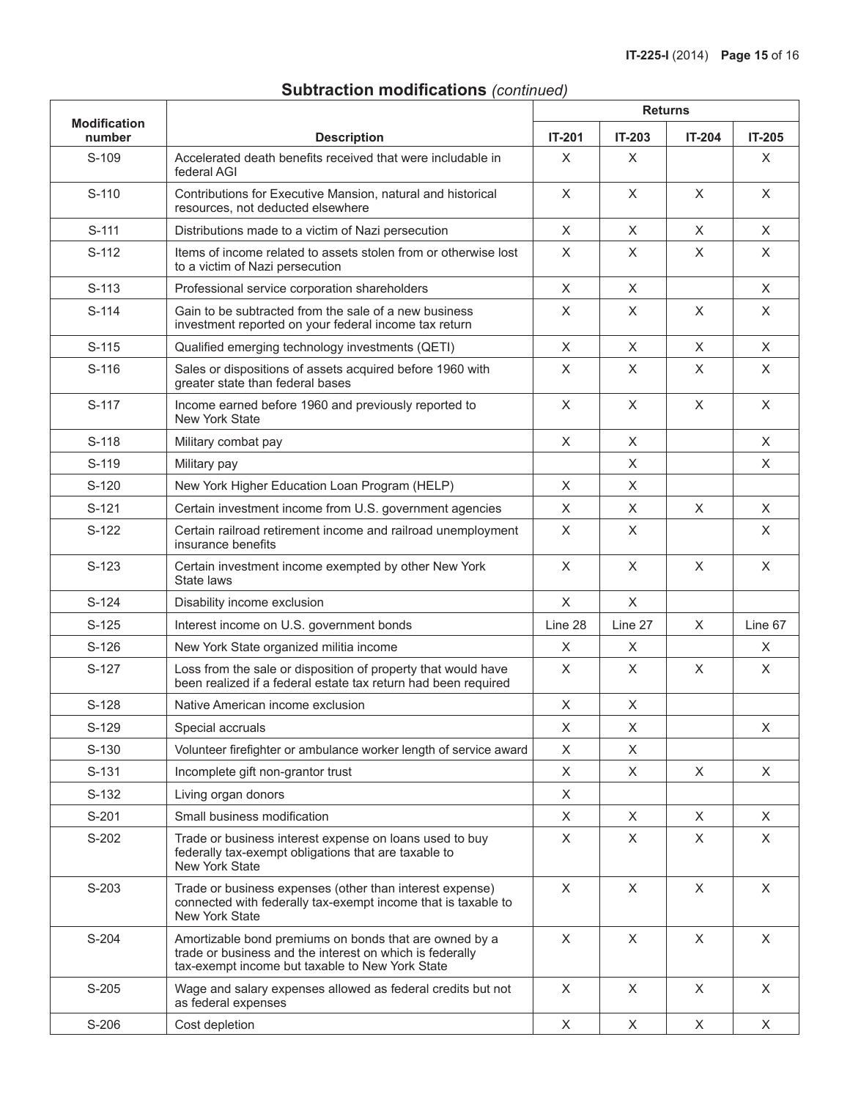# **Subtraction modifications** *(continued)*

| <b>Modification</b> |                                                                                                                                                                       | <b>Returns</b> |               |               |               |
|---------------------|-----------------------------------------------------------------------------------------------------------------------------------------------------------------------|----------------|---------------|---------------|---------------|
| number              | <b>Description</b>                                                                                                                                                    | <b>IT-201</b>  | <b>IT-203</b> | <b>IT-204</b> | <b>IT-205</b> |
| S-109               | Accelerated death benefits received that were includable in<br>federal AGI                                                                                            | X              | X             |               | X             |
| S-110               | Contributions for Executive Mansion, natural and historical<br>resources, not deducted elsewhere                                                                      | X              | X             | $\times$      | $\times$      |
| $S-111$             | Distributions made to a victim of Nazi persecution                                                                                                                    | X              | X             | X             | X             |
| S-112               | Items of income related to assets stolen from or otherwise lost<br>to a victim of Nazi persecution                                                                    | X              | X             | X             | X             |
| $S-113$             | Professional service corporation shareholders                                                                                                                         | X              | X             |               | X             |
| $S-114$             | Gain to be subtracted from the sale of a new business<br>investment reported on your federal income tax return                                                        | X              | X             | $\times$      | X             |
| $S-115$             | Qualified emerging technology investments (QETI)                                                                                                                      | X              | X             | $\times$      | X             |
| $S-116$             | Sales or dispositions of assets acquired before 1960 with<br>greater state than federal bases                                                                         | X              | X             | X             | X             |
| $S-117$             | Income earned before 1960 and previously reported to<br>New York State                                                                                                | X              | X             | $\times$      | X             |
| $S-118$             | Military combat pay                                                                                                                                                   | X              | X             |               | X             |
| S-119               | Military pay                                                                                                                                                          |                | X             |               | X             |
| $S-120$             | New York Higher Education Loan Program (HELP)                                                                                                                         | X              | X             |               |               |
| $S-121$             | Certain investment income from U.S. government agencies                                                                                                               | X              | X             | X             | X             |
| $S-122$             | Certain railroad retirement income and railroad unemployment<br>insurance benefits                                                                                    | X              | X             |               | X             |
| $S-123$             | Certain investment income exempted by other New York<br>State laws                                                                                                    | $\times$       | X             | X             | $\mathsf X$   |
| $S-124$             | Disability income exclusion                                                                                                                                           | X              | $\sf X$       |               |               |
| $S-125$             | Interest income on U.S. government bonds                                                                                                                              | Line 28        | Line 27       | X             | Line 67       |
| $S-126$             | New York State organized militia income                                                                                                                               | X              | X             |               | X             |
| $S-127$             | Loss from the sale or disposition of property that would have<br>been realized if a federal estate tax return had been required                                       | X              | X             | $\times$      | X             |
| $S-128$             | Native American income exclusion                                                                                                                                      | X              | X             |               |               |
| S-129               | Special accruals                                                                                                                                                      | $\sf X$        | $\mathsf X$   |               | $\mathsf X$   |
| S-130               | Volunteer firefighter or ambulance worker length of service award                                                                                                     | X              | X             |               |               |
| S-131               | Incomplete gift non-grantor trust                                                                                                                                     | X              | X             | X             | X             |
| $S-132$             | Living organ donors                                                                                                                                                   | X              |               |               |               |
| S-201               | Small business modification                                                                                                                                           | X              | X             | X             | X             |
| S-202               | Trade or business interest expense on loans used to buy<br>federally tax-exempt obligations that are taxable to<br>New York State                                     | X              | X             | X             | X             |
| S-203               | Trade or business expenses (other than interest expense)<br>connected with federally tax-exempt income that is taxable to<br>New York State                           | X              | X             | $\times$      | X             |
| S-204               | Amortizable bond premiums on bonds that are owned by a<br>trade or business and the interest on which is federally<br>tax-exempt income but taxable to New York State | X              | X             | $\times$      | X             |
| S-205               | Wage and salary expenses allowed as federal credits but not<br>as federal expenses                                                                                    | X              | X             | X             | X             |
| S-206               | Cost depletion                                                                                                                                                        | X              | X             | X             | X             |